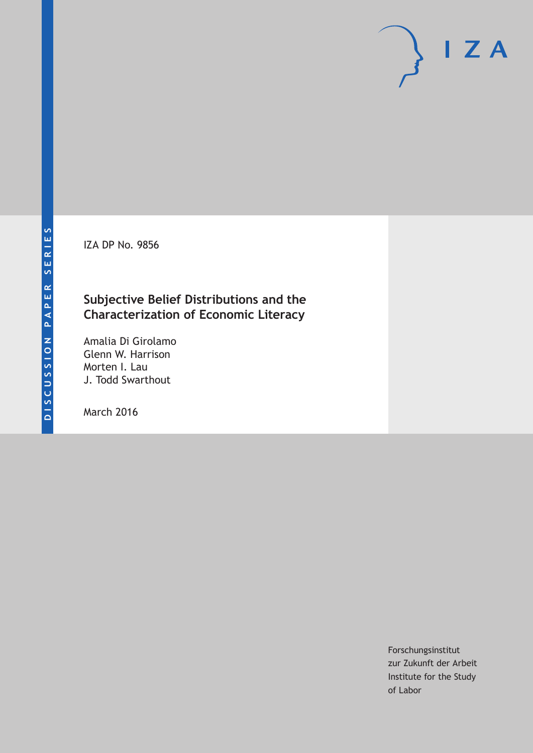IZA DP No. 9856

# **Subjective Belief Distributions and the Characterization of Economic Literacy**

Amalia Di Girolamo Glenn W. Harrison Morten I. Lau J. Todd Swarthout

March 2016

Forschungsinstitut zur Zukunft der Arbeit Institute for the Study of Labor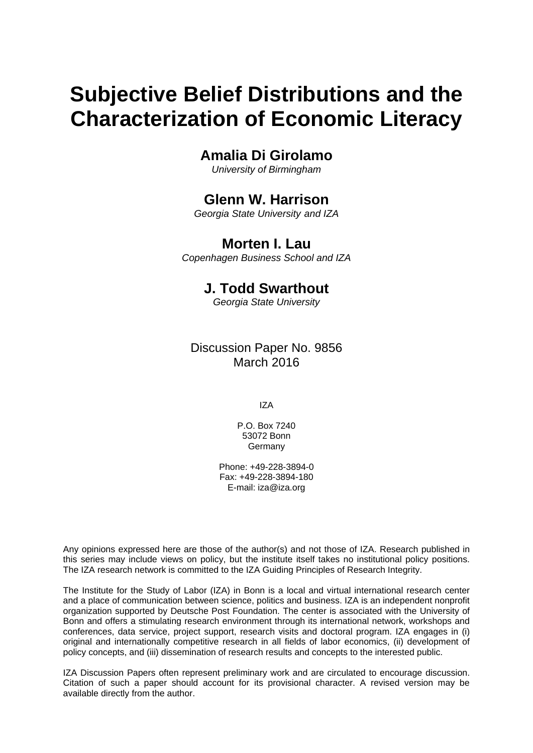# **Subjective Belief Distributions and the Characterization of Economic Literacy**

### **Amalia Di Girolamo**

*University of Birmingham* 

# **Glenn W. Harrison**

*Georgia State University and IZA* 

### **Morten I. Lau**

*Copenhagen Business School and IZA*

## **J. Todd Swarthout**

*Georgia State University*

Discussion Paper No. 9856 March 2016

IZA

P.O. Box 7240 53072 Bonn Germany

Phone: +49-228-3894-0 Fax: +49-228-3894-180 E-mail: iza@iza.org

Any opinions expressed here are those of the author(s) and not those of IZA. Research published in this series may include views on policy, but the institute itself takes no institutional policy positions. The IZA research network is committed to the IZA Guiding Principles of Research Integrity.

The Institute for the Study of Labor (IZA) in Bonn is a local and virtual international research center and a place of communication between science, politics and business. IZA is an independent nonprofit organization supported by Deutsche Post Foundation. The center is associated with the University of Bonn and offers a stimulating research environment through its international network, workshops and conferences, data service, project support, research visits and doctoral program. IZA engages in (i) original and internationally competitive research in all fields of labor economics, (ii) development of policy concepts, and (iii) dissemination of research results and concepts to the interested public.

IZA Discussion Papers often represent preliminary work and are circulated to encourage discussion. Citation of such a paper should account for its provisional character. A revised version may be available directly from the author.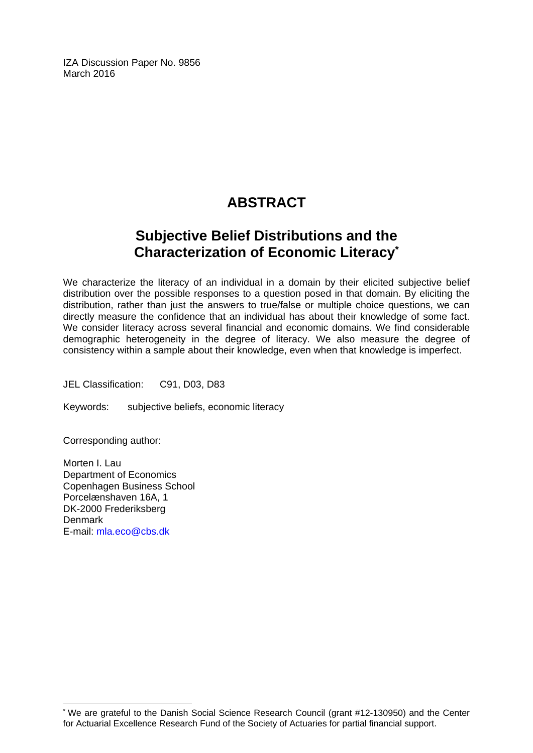IZA Discussion Paper No. 9856 March 2016

# **ABSTRACT**

# **Subjective Belief Distributions and the Characterization of Economic Literacy\***

We characterize the literacy of an individual in a domain by their elicited subjective belief distribution over the possible responses to a question posed in that domain. By eliciting the distribution, rather than just the answers to true/false or multiple choice questions, we can directly measure the confidence that an individual has about their knowledge of some fact. We consider literacy across several financial and economic domains. We find considerable demographic heterogeneity in the degree of literacy. We also measure the degree of consistency within a sample about their knowledge, even when that knowledge is imperfect.

JEL Classification: C91, D03, D83

Keywords: subjective beliefs, economic literacy

Corresponding author:

 $\overline{a}$ 

Morten I. Lau Department of Economics Copenhagen Business School Porcelænshaven 16A, 1 DK-2000 Frederiksberg **Denmark** E-mail: mla.eco@cbs.dk

<sup>\*</sup> We are grateful to the Danish Social Science Research Council (grant #12-130950) and the Center for Actuarial Excellence Research Fund of the Society of Actuaries for partial financial support.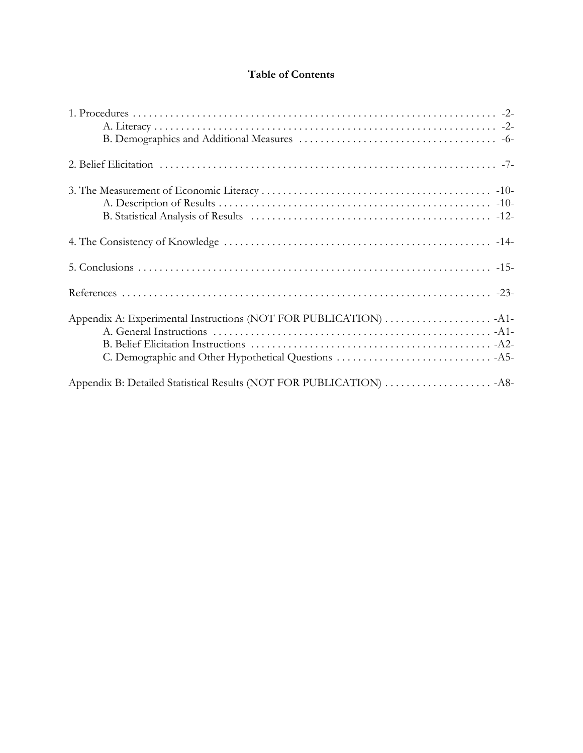### **Table of Contents**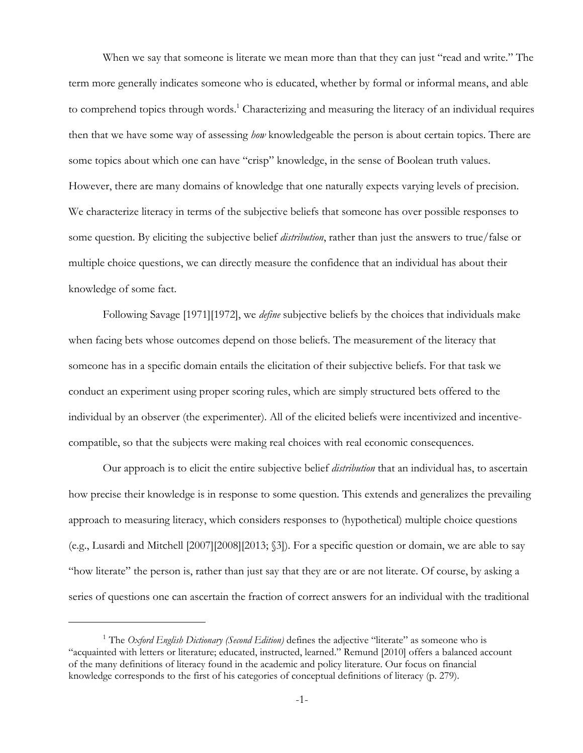When we say that someone is literate we mean more than that they can just "read and write." The term more generally indicates someone who is educated, whether by formal or informal means, and able to comprehend topics through words.<sup>1</sup> Characterizing and measuring the literacy of an individual requires then that we have some way of assessing *how* knowledgeable the person is about certain topics. There are some topics about which one can have "crisp" knowledge, in the sense of Boolean truth values. However, there are many domains of knowledge that one naturally expects varying levels of precision. We characterize literacy in terms of the subjective beliefs that someone has over possible responses to some question. By eliciting the subjective belief *distribution*, rather than just the answers to true/false or multiple choice questions, we can directly measure the confidence that an individual has about their knowledge of some fact.

Following Savage [1971][1972], we *define* subjective beliefs by the choices that individuals make when facing bets whose outcomes depend on those beliefs. The measurement of the literacy that someone has in a specific domain entails the elicitation of their subjective beliefs. For that task we conduct an experiment using proper scoring rules, which are simply structured bets offered to the individual by an observer (the experimenter). All of the elicited beliefs were incentivized and incentivecompatible, so that the subjects were making real choices with real economic consequences.

Our approach is to elicit the entire subjective belief *distribution* that an individual has, to ascertain how precise their knowledge is in response to some question. This extends and generalizes the prevailing approach to measuring literacy, which considers responses to (hypothetical) multiple choice questions (e.g., Lusardi and Mitchell [2007][2008][2013; §3]). For a specific question or domain, we are able to say "how literate" the person is, rather than just say that they are or are not literate. Of course, by asking a series of questions one can ascertain the fraction of correct answers for an individual with the traditional

<sup>1</sup> The *Oxford English Dictionary (Second Edition)* defines the adjective "literate" as someone who is "acquainted with letters or literature; educated, instructed, learned." Remund [2010] offers a balanced account of the many definitions of literacy found in the academic and policy literature. Our focus on financial knowledge corresponds to the first of his categories of conceptual definitions of literacy (p. 279).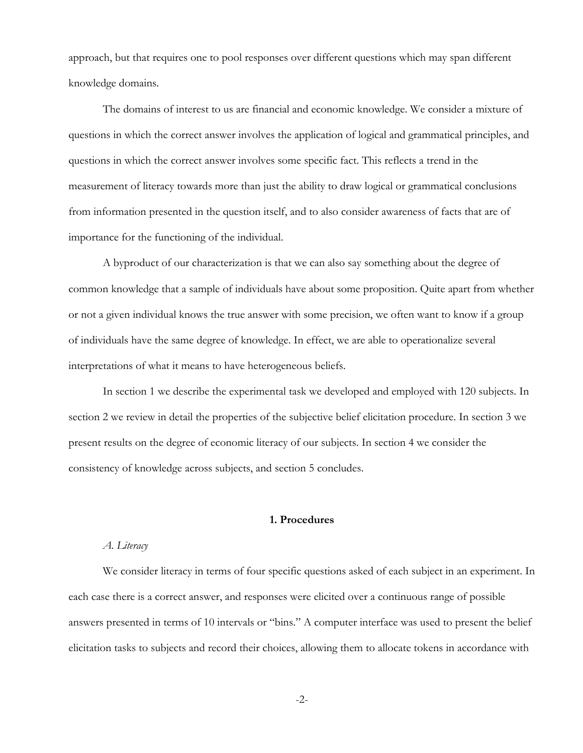approach, but that requires one to pool responses over different questions which may span different knowledge domains.

The domains of interest to us are financial and economic knowledge. We consider a mixture of questions in which the correct answer involves the application of logical and grammatical principles, and questions in which the correct answer involves some specific fact. This reflects a trend in the measurement of literacy towards more than just the ability to draw logical or grammatical conclusions from information presented in the question itself, and to also consider awareness of facts that are of importance for the functioning of the individual.

A byproduct of our characterization is that we can also say something about the degree of common knowledge that a sample of individuals have about some proposition. Quite apart from whether or not a given individual knows the true answer with some precision, we often want to know if a group of individuals have the same degree of knowledge. In effect, we are able to operationalize several interpretations of what it means to have heterogeneous beliefs.

In section 1 we describe the experimental task we developed and employed with 120 subjects. In section 2 we review in detail the properties of the subjective belief elicitation procedure. In section 3 we present results on the degree of economic literacy of our subjects. In section 4 we consider the consistency of knowledge across subjects, and section 5 concludes.

#### **1. Procedures**

#### *A. Literacy*

We consider literacy in terms of four specific questions asked of each subject in an experiment. In each case there is a correct answer, and responses were elicited over a continuous range of possible answers presented in terms of 10 intervals or "bins." A computer interface was used to present the belief elicitation tasks to subjects and record their choices, allowing them to allocate tokens in accordance with

-2-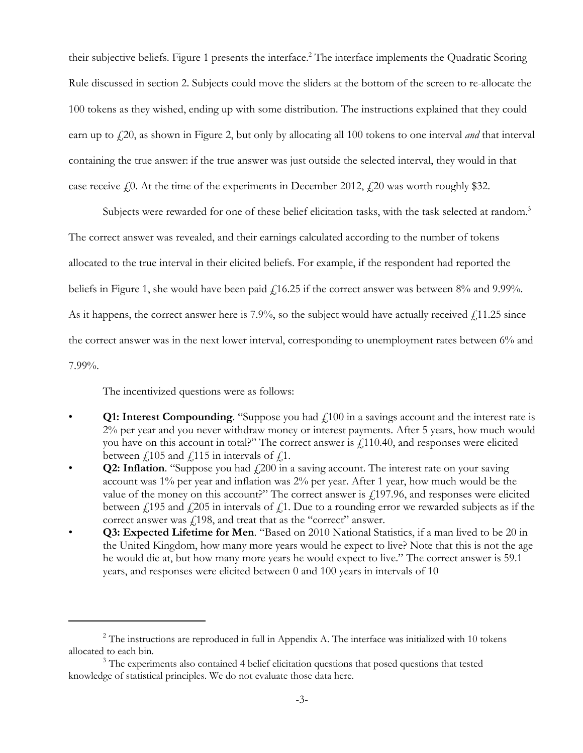their subjective beliefs. Figure 1 presents the interface.<sup>2</sup> The interface implements the Quadratic Scoring Rule discussed in section 2. Subjects could move the sliders at the bottom of the screen to re-allocate the 100 tokens as they wished, ending up with some distribution. The instructions explained that they could earn up to £20, as shown in Figure 2, but only by allocating all 100 tokens to one interval *and* that interval containing the true answer: if the true answer was just outside the selected interval, they would in that case receive  $\dot{\varphi}$ . At the time of the experiments in December 2012,  $\dot{\varphi}$  as worth roughly \$32.

Subjects were rewarded for one of these belief elicitation tasks, with the task selected at random.<sup>3</sup> The correct answer was revealed, and their earnings calculated according to the number of tokens allocated to the true interval in their elicited beliefs. For example, if the respondent had reported the beliefs in Figure 1, she would have been paid  $f$ 16.25 if the correct answer was between 8% and 9.99%. As it happens, the correct answer here is 7.9%, so the subject would have actually received  $f<sub>1</sub>11.25$  since the correct answer was in the next lower interval, corresponding to unemployment rates between 6% and 7.99%.

The incentivized questions were as follows:

- **Q1: Interest Compounding**. "Suppose you had  $f(100)$  in a savings account and the interest rate is 2% per year and you never withdraw money or interest payments. After 5 years, how much would you have on this account in total?" The correct answer is  $f<sub>1</sub>110.40$ , and responses were elicited between  $\ell$ 105 and  $\ell$ 115 in intervals of  $\ell$ 1.
- **Q2: Inflation**. "Suppose you had  $f(200)$  in a saving account. The interest rate on your saving account was 1% per year and inflation was 2% per year. After 1 year, how much would be the value of the money on this account?" The correct answer is  $f<sub>1</sub>197.96$ , and responses were elicited between  $f(195)$  and  $f(205)$  in intervals of  $f(1)$ . Due to a rounding error we rewarded subjects as if the correct answer was  $f<sub>1</sub>198$ , and treat that as the "correct" answer.
- **Q3: Expected Lifetime for Men**. "Based on 2010 National Statistics, if a man lived to be 20 in the United Kingdom, how many more years would he expect to live? Note that this is not the age he would die at, but how many more years he would expect to live." The correct answer is 59.1 years, and responses were elicited between 0 and 100 years in intervals of 10

 $2$  The instructions are reproduced in full in Appendix A. The interface was initialized with 10 tokens allocated to each bin.

<sup>&</sup>lt;sup>3</sup> The experiments also contained 4 belief elicitation questions that posed questions that tested knowledge of statistical principles. We do not evaluate those data here.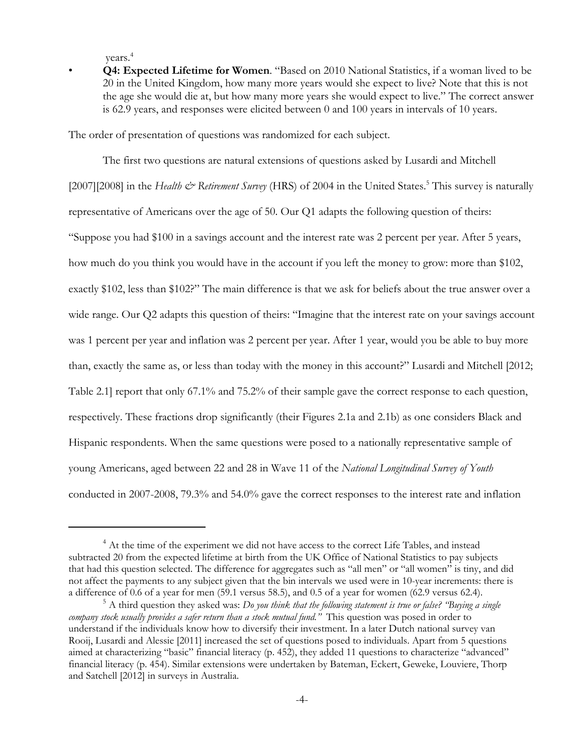years.4

• **Q4: Expected Lifetime for Women**. "Based on 2010 National Statistics, if a woman lived to be 20 in the United Kingdom, how many more years would she expect to live? Note that this is not the age she would die at, but how many more years she would expect to live." The correct answer is 62.9 years, and responses were elicited between 0 and 100 years in intervals of 10 years.

The order of presentation of questions was randomized for each subject.

The first two questions are natural extensions of questions asked by Lusardi and Mitchell [2007][2008] in the *Health & Retirement Survey* (HRS) of 2004 in the United States.<sup>5</sup> This survey is naturally representative of Americans over the age of 50. Our Q1 adapts the following question of theirs: "Suppose you had \$100 in a savings account and the interest rate was 2 percent per year. After 5 years, how much do you think you would have in the account if you left the money to grow: more than \$102, exactly \$102, less than \$102?" The main difference is that we ask for beliefs about the true answer over a wide range. Our Q2 adapts this question of theirs: "Imagine that the interest rate on your savings account was 1 percent per year and inflation was 2 percent per year. After 1 year, would you be able to buy more than, exactly the same as, or less than today with the money in this account?" Lusardi and Mitchell [2012; Table 2.1] report that only 67.1% and 75.2% of their sample gave the correct response to each question, respectively. These fractions drop significantly (their Figures 2.1a and 2.1b) as one considers Black and Hispanic respondents. When the same questions were posed to a nationally representative sample of young Americans, aged between 22 and 28 in Wave 11 of the *National Longitudinal Survey of Youth* conducted in 2007-2008, 79.3% and 54.0% gave the correct responses to the interest rate and inflation

<sup>&</sup>lt;sup>4</sup> At the time of the experiment we did not have access to the correct Life Tables, and instead subtracted 20 from the expected lifetime at birth from the UK Office of National Statistics to pay subjects that had this question selected. The difference for aggregates such as "all men" or "all women" is tiny, and did not affect the payments to any subject given that the bin intervals we used were in 10-year increments: there is a difference of 0.6 of a year for men (59.1 versus 58.5), and 0.5 of a year for women (62.9 versus 62.4).

<sup>5</sup> A third question they asked was: *Do you think that the following statement is true or false? "Buying a single company stock usually provides a safer return than a stock mutual fund."* This question was posed in order to understand if the individuals know how to diversify their investment. In a later Dutch national survey van Rooij, Lusardi and Alessie [2011] increased the set of questions posed to individuals. Apart from 5 questions aimed at characterizing "basic" financial literacy (p. 452), they added 11 questions to characterize "advanced" financial literacy (p. 454). Similar extensions were undertaken by Bateman, Eckert, Geweke, Louviere, Thorp and Satchell [2012] in surveys in Australia.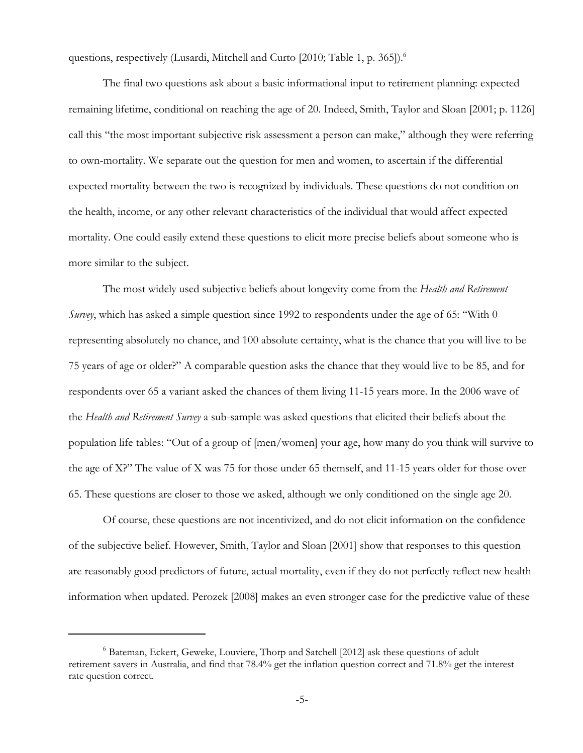questions, respectively (Lusardi, Mitchell and Curto [2010; Table 1, p. 365]).<sup>6</sup>

The final two questions ask about a basic informational input to retirement planning: expected remaining lifetime, conditional on reaching the age of 20. Indeed, Smith, Taylor and Sloan [2001; p. 1126] call this "the most important subjective risk assessment a person can make," although they were referring to own-mortality. We separate out the question for men and women, to ascertain if the differential expected mortality between the two is recognized by individuals. These questions do not condition on the health, income, or any other relevant characteristics of the individual that would affect expected mortality. One could easily extend these questions to elicit more precise beliefs about someone who is more similar to the subject.

The most widely used subjective beliefs about longevity come from the *Health and Retirement Survey*, which has asked a simple question since 1992 to respondents under the age of 65: "With 0 representing absolutely no chance, and 100 absolute certainty, what is the chance that you will live to be 75 years of age or older?" A comparable question asks the chance that they would live to be 85, and for respondents over 65 a variant asked the chances of them living 11-15 years more. In the 2006 wave of the *Health and Retirement Survey* a sub-sample was asked questions that elicited their beliefs about the population life tables: "Out of a group of [men/women] your age, how many do you think will survive to the age of X?" The value of X was 75 for those under 65 themself, and 11-15 years older for those over 65. These questions are closer to those we asked, although we only conditioned on the single age 20.

Of course, these questions are not incentivized, and do not elicit information on the confidence of the subjective belief. However, Smith, Taylor and Sloan [2001] show that responses to this question are reasonably good predictors of future, actual mortality, even if they do not perfectly reflect new health information when updated. Perozek [2008] makes an even stronger case for the predictive value of these

<sup>6</sup> Bateman, Eckert, Geweke, Louviere, Thorp and Satchell [2012] ask these questions of adult retirement savers in Australia, and find that 78.4% get the inflation question correct and 71.8% get the interest rate question correct.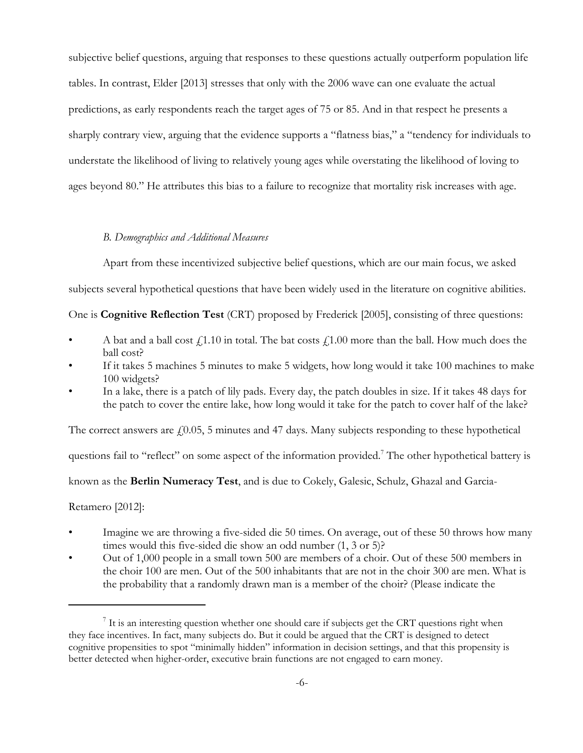subjective belief questions, arguing that responses to these questions actually outperform population life tables. In contrast, Elder [2013] stresses that only with the 2006 wave can one evaluate the actual predictions, as early respondents reach the target ages of 75 or 85. And in that respect he presents a sharply contrary view, arguing that the evidence supports a "flatness bias," a "tendency for individuals to understate the likelihood of living to relatively young ages while overstating the likelihood of loving to ages beyond 80." He attributes this bias to a failure to recognize that mortality risk increases with age.

#### *B. Demographics and Additional Measures*

Apart from these incentivized subjective belief questions, which are our main focus, we asked

subjects several hypothetical questions that have been widely used in the literature on cognitive abilities.

One is **Cognitive Reflection Test** (CRT) proposed by Frederick [2005], consisting of three questions:

- A bat and a ball cost  $f(1.10 \text{ in total.}$  The bat costs  $f(1.00 \text{ more than the ball.}$  How much does the ball cost?
- If it takes 5 machines 5 minutes to make 5 widgets, how long would it take 100 machines to make 100 widgets?
- In a lake, there is a patch of lily pads. Every day, the patch doubles in size. If it takes 48 days for the patch to cover the entire lake, how long would it take for the patch to cover half of the lake?

The correct answers are  $f(0.05, 5 \text{ minutes and } 47 \text{ days}$ . Many subjects responding to these hypothetical

questions fail to "reflect" on some aspect of the information provided.<sup>7</sup> The other hypothetical battery is

known as the **Berlin Numeracy Test**, and is due to Cokely, Galesic, Schulz, Ghazal and Garcia-

Retamero [2012]:

- Imagine we are throwing a five-sided die 50 times. On average, out of these 50 throws how many times would this five-sided die show an odd number (1, 3 or 5)?
- Out of 1,000 people in a small town 500 are members of a choir. Out of these 500 members in the choir 100 are men. Out of the 500 inhabitants that are not in the choir 300 are men. What is the probability that a randomly drawn man is a member of the choir? (Please indicate the

 $<sup>7</sup>$  It is an interesting question whether one should care if subjects get the CRT questions right when</sup> they face incentives. In fact, many subjects do. But it could be argued that the CRT is designed to detect cognitive propensities to spot "minimally hidden" information in decision settings, and that this propensity is better detected when higher-order, executive brain functions are not engaged to earn money.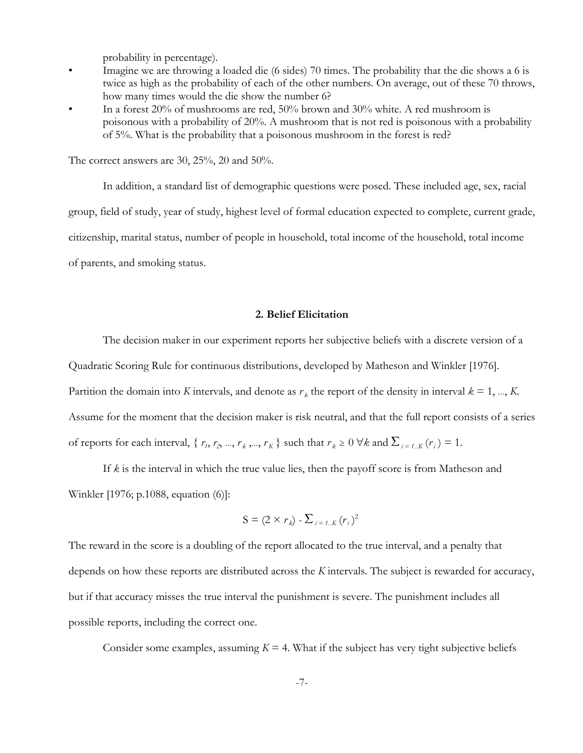probability in percentage).

- Imagine we are throwing a loaded die (6 sides) 70 times. The probability that the die shows a 6 is twice as high as the probability of each of the other numbers. On average, out of these 70 throws, how many times would the die show the number 6?
- In a forest 20% of mushrooms are red, 50% brown and 30% white. A red mushroom is poisonous with a probability of 20%. A mushroom that is not red is poisonous with a probability of 5%. What is the probability that a poisonous mushroom in the forest is red?

The correct answers are 30, 25%, 20 and 50%.

In addition, a standard list of demographic questions were posed. These included age, sex, racial group, field of study, year of study, highest level of formal education expected to complete, current grade, citizenship, marital status, number of people in household, total income of the household, total income of parents, and smoking status.

#### **2. Belief Elicitation**

The decision maker in our experiment reports her subjective beliefs with a discrete version of a Quadratic Scoring Rule for continuous distributions, developed by Matheson and Winkler [1976]. Partition the domain into *K* intervals, and denote as  $r_k$  the report of the density in interval  $k = 1, ..., K$ . Assume for the moment that the decision maker is risk neutral, and that the full report consists of a series of reports for each interval,  $\{r_1, r_2, ..., r_k, ..., r_K\}$  such that  $r_k \geq 0 \forall k$  and  $\sum_{i=1...K} (r_i) = 1$ .

If *k* is the interval in which the true value lies, then the payoff score is from Matheson and Winkler [1976; p.1088, equation (6)]:

$$
S = (2 \times r_k) - \sum_{i = 1...K} (r_i)^2
$$

The reward in the score is a doubling of the report allocated to the true interval, and a penalty that depends on how these reports are distributed across the *K* intervals. The subject is rewarded for accuracy, but if that accuracy misses the true interval the punishment is severe. The punishment includes all possible reports, including the correct one.

Consider some examples, assuming  $K = 4$ . What if the subject has very tight subjective beliefs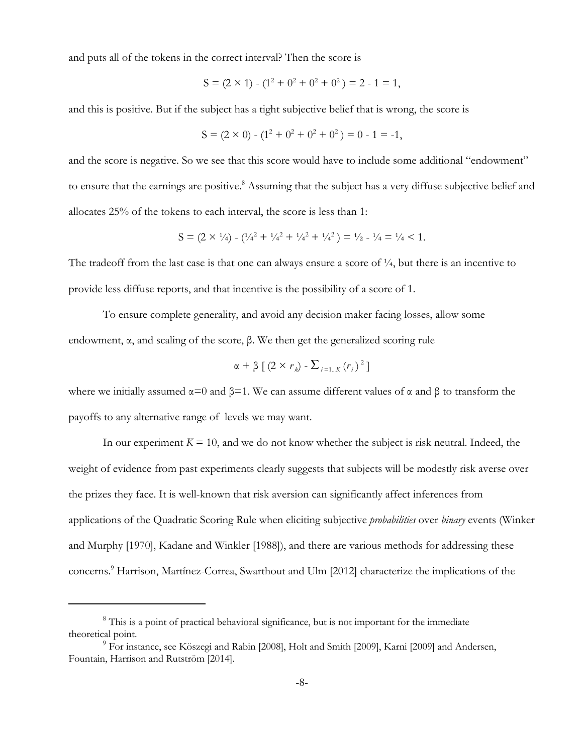and puts all of the tokens in the correct interval? Then the score is

$$
S = (2 \times 1) - (1^2 + 0^2 + 0^2 + 0^2) = 2 - 1 = 1,
$$

and this is positive. But if the subject has a tight subjective belief that is wrong, the score is

$$
S = (2 \times 0) - (1^2 + 0^2 + 0^2 + 0^2) = 0 - 1 = -1,
$$

and the score is negative. So we see that this score would have to include some additional "endowment" to ensure that the earnings are positive.<sup>8</sup> Assuming that the subject has a very diffuse subjective belief and allocates 25% of the tokens to each interval, the score is less than 1:

$$
S = (2 \times \frac{1}{4}) - (\frac{1}{4} + \frac{1}{4} + \frac{1}{4} + \frac{1}{4} + \frac{1}{4}) = \frac{1}{2} - \frac{1}{4} = \frac{1}{4} < 1.
$$

The tradeoff from the last case is that one can always ensure a score of  $\frac{1}{4}$ , but there is an incentive to provide less diffuse reports, and that incentive is the possibility of a score of 1.

To ensure complete generality, and avoid any decision maker facing losses, allow some endowment, α, and scaling of the score, β. We then get the generalized scoring rule

$$
\alpha + \beta \left[ (2 \times r_k) - \sum_{i=1...K} (r_i)^2 \right]
$$

where we initially assumed  $\alpha=0$  and  $\beta=1$ . We can assume different values of  $\alpha$  and  $\beta$  to transform the payoffs to any alternative range of levels we may want.

In our experiment  $K = 10$ , and we do not know whether the subject is risk neutral. Indeed, the weight of evidence from past experiments clearly suggests that subjects will be modestly risk averse over the prizes they face. It is well-known that risk aversion can significantly affect inferences from applications of the Quadratic Scoring Rule when eliciting subjective *probabilities* over *binary* events (Winker and Murphy [1970], Kadane and Winkler [1988]), and there are various methods for addressing these concerns.<sup>9</sup> Harrison, Martínez-Correa, Swarthout and Ulm [2012] characterize the implications of the

 $8$  This is a point of practical behavioral significance, but is not important for the immediate theoretical point.

<sup>&</sup>lt;sup>9</sup> For instance, see Köszegi and Rabin [2008], Holt and Smith [2009], Karni [2009] and Andersen, Fountain, Harrison and Rutström [2014].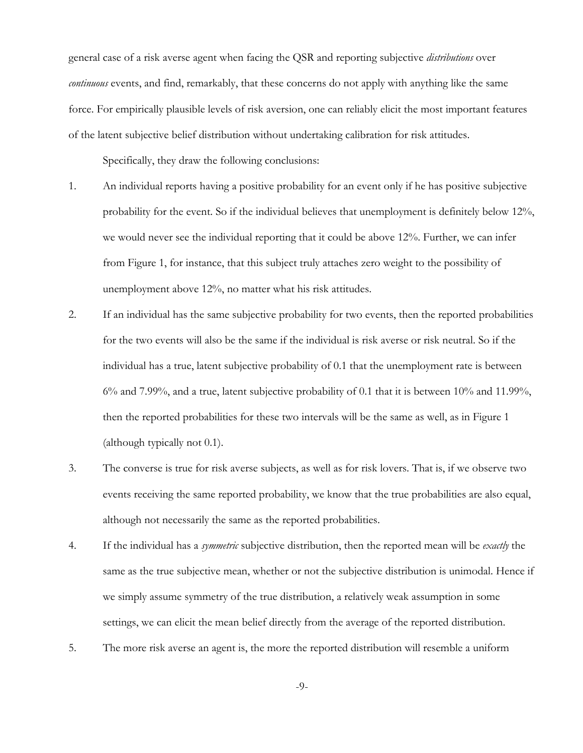general case of a risk averse agent when facing the QSR and reporting subjective *distributions* over *continuous* events, and find, remarkably, that these concerns do not apply with anything like the same force. For empirically plausible levels of risk aversion, one can reliably elicit the most important features of the latent subjective belief distribution without undertaking calibration for risk attitudes.

Specifically, they draw the following conclusions:

- 1. An individual reports having a positive probability for an event only if he has positive subjective probability for the event. So if the individual believes that unemployment is definitely below 12%, we would never see the individual reporting that it could be above 12%. Further, we can infer from Figure 1, for instance, that this subject truly attaches zero weight to the possibility of unemployment above 12%, no matter what his risk attitudes.
- 2. If an individual has the same subjective probability for two events, then the reported probabilities for the two events will also be the same if the individual is risk averse or risk neutral. So if the individual has a true, latent subjective probability of 0.1 that the unemployment rate is between 6% and 7.99%, and a true, latent subjective probability of 0.1 that it is between 10% and 11.99%, then the reported probabilities for these two intervals will be the same as well, as in Figure 1 (although typically not 0.1).
- 3. The converse is true for risk averse subjects, as well as for risk lovers. That is, if we observe two events receiving the same reported probability, we know that the true probabilities are also equal, although not necessarily the same as the reported probabilities.
- 4. If the individual has a *symmetric* subjective distribution, then the reported mean will be *exactly* the same as the true subjective mean, whether or not the subjective distribution is unimodal. Hence if we simply assume symmetry of the true distribution, a relatively weak assumption in some settings, we can elicit the mean belief directly from the average of the reported distribution.
- 5. The more risk averse an agent is, the more the reported distribution will resemble a uniform

-9-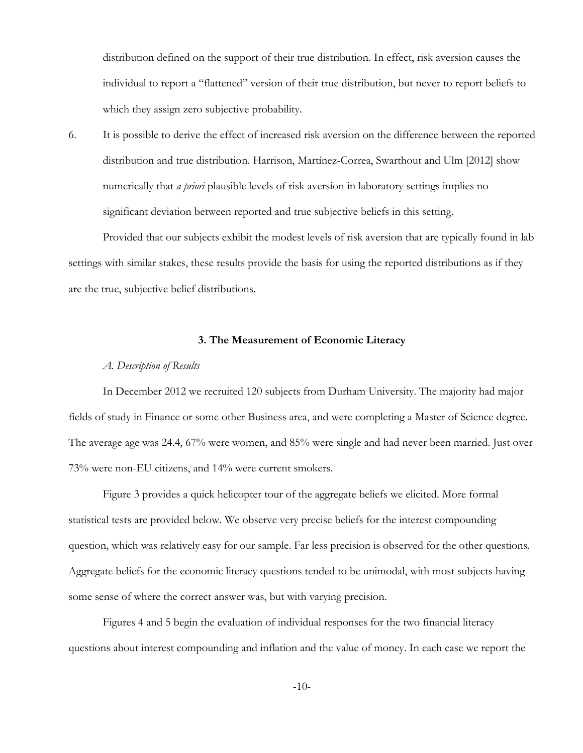distribution defined on the support of their true distribution. In effect, risk aversion causes the individual to report a "flattened" version of their true distribution, but never to report beliefs to which they assign zero subjective probability.

6. It is possible to derive the effect of increased risk aversion on the difference between the reported distribution and true distribution. Harrison, Martínez-Correa, Swarthout and Ulm [2012] show numerically that *a priori* plausible levels of risk aversion in laboratory settings implies no significant deviation between reported and true subjective beliefs in this setting.

Provided that our subjects exhibit the modest levels of risk aversion that are typically found in lab settings with similar stakes, these results provide the basis for using the reported distributions as if they are the true, subjective belief distributions.

#### **3. The Measurement of Economic Literacy**

#### *A. Description of Results*

In December 2012 we recruited 120 subjects from Durham University. The majority had major fields of study in Finance or some other Business area, and were completing a Master of Science degree. The average age was 24.4, 67% were women, and 85% were single and had never been married. Just over 73% were non-EU citizens, and 14% were current smokers.

Figure 3 provides a quick helicopter tour of the aggregate beliefs we elicited. More formal statistical tests are provided below. We observe very precise beliefs for the interest compounding question, which was relatively easy for our sample. Far less precision is observed for the other questions. Aggregate beliefs for the economic literacy questions tended to be unimodal, with most subjects having some sense of where the correct answer was, but with varying precision.

Figures 4 and 5 begin the evaluation of individual responses for the two financial literacy questions about interest compounding and inflation and the value of money. In each case we report the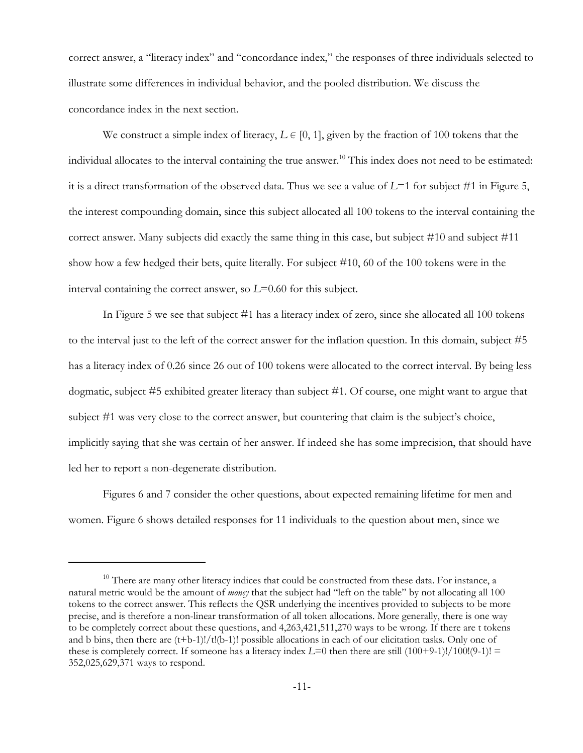correct answer, a "literacy index" and "concordance index," the responses of three individuals selected to illustrate some differences in individual behavior, and the pooled distribution. We discuss the concordance index in the next section.

We construct a simple index of literacy,  $L \in [0, 1]$ , given by the fraction of 100 tokens that the individual allocates to the interval containing the true answer.<sup>10</sup> This index does not need to be estimated: it is a direct transformation of the observed data. Thus we see a value of *L*=1 for subject #1 in Figure 5, the interest compounding domain, since this subject allocated all 100 tokens to the interval containing the correct answer. Many subjects did exactly the same thing in this case, but subject #10 and subject #11 show how a few hedged their bets, quite literally. For subject #10, 60 of the 100 tokens were in the interval containing the correct answer, so *L*=0.60 for this subject.

In Figure 5 we see that subject #1 has a literacy index of zero, since she allocated all 100 tokens to the interval just to the left of the correct answer for the inflation question. In this domain, subject #5 has a literacy index of 0.26 since 26 out of 100 tokens were allocated to the correct interval. By being less dogmatic, subject #5 exhibited greater literacy than subject #1. Of course, one might want to argue that subject #1 was very close to the correct answer, but countering that claim is the subject's choice, implicitly saying that she was certain of her answer. If indeed she has some imprecision, that should have led her to report a non-degenerate distribution.

Figures 6 and 7 consider the other questions, about expected remaining lifetime for men and women. Figure 6 shows detailed responses for 11 individuals to the question about men, since we

 $10$  There are many other literacy indices that could be constructed from these data. For instance, a natural metric would be the amount of *money* that the subject had "left on the table" by not allocating all 100 tokens to the correct answer. This reflects the QSR underlying the incentives provided to subjects to be more precise, and is therefore a non-linear transformation of all token allocations. More generally, there is one way to be completely correct about these questions, and 4,263,421,511,270 ways to be wrong. If there are t tokens and b bins, then there are  $(t+b-1)!/t!(b-1)!$  possible allocations in each of our elicitation tasks. Only one of these is completely correct. If someone has a literacy index  $L=0$  then there are still  $(100+9-1)!/100!(9-1)!$ 352,025,629,371 ways to respond.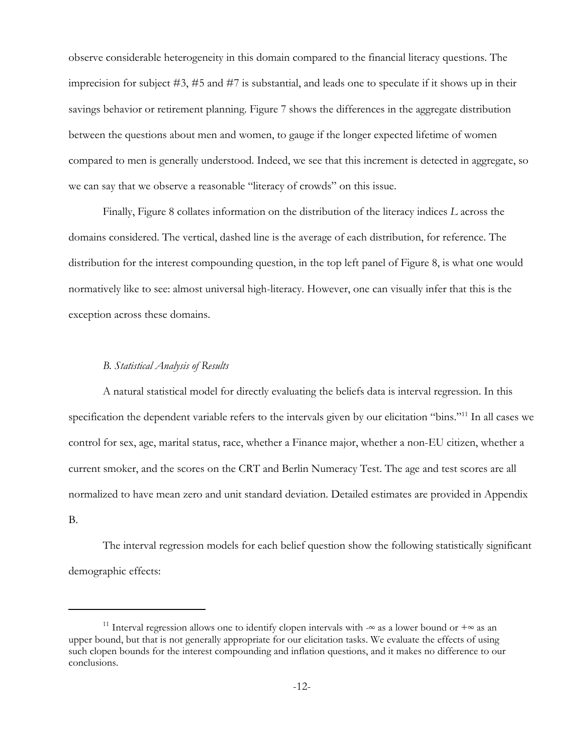observe considerable heterogeneity in this domain compared to the financial literacy questions. The imprecision for subject #3, #5 and #7 is substantial, and leads one to speculate if it shows up in their savings behavior or retirement planning. Figure 7 shows the differences in the aggregate distribution between the questions about men and women, to gauge if the longer expected lifetime of women compared to men is generally understood. Indeed, we see that this increment is detected in aggregate, so we can say that we observe a reasonable "literacy of crowds" on this issue.

Finally, Figure 8 collates information on the distribution of the literacy indices *L* across the domains considered. The vertical, dashed line is the average of each distribution, for reference. The distribution for the interest compounding question, in the top left panel of Figure 8, is what one would normatively like to see: almost universal high-literacy. However, one can visually infer that this is the exception across these domains.

### *B. Statistical Analysis of Results*

A natural statistical model for directly evaluating the beliefs data is interval regression. In this specification the dependent variable refers to the intervals given by our elicitation "bins."<sup>11</sup> In all cases we control for sex, age, marital status, race, whether a Finance major, whether a non-EU citizen, whether a current smoker, and the scores on the CRT and Berlin Numeracy Test. The age and test scores are all normalized to have mean zero and unit standard deviation. Detailed estimates are provided in Appendix B.

The interval regression models for each belief question show the following statistically significant demographic effects:

<sup>&</sup>lt;sup>11</sup> Interval regression allows one to identify clopen intervals with - $\infty$  as a lower bound or  $+\infty$  as an upper bound, but that is not generally appropriate for our elicitation tasks. We evaluate the effects of using such clopen bounds for the interest compounding and inflation questions, and it makes no difference to our conclusions.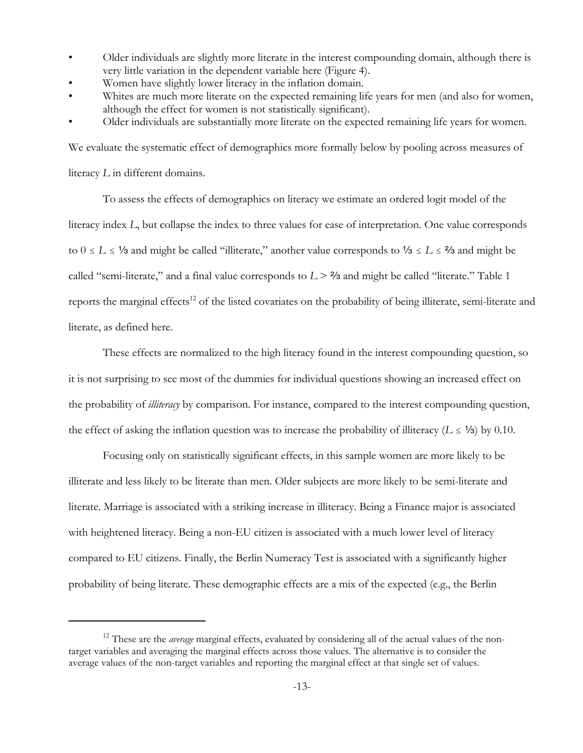- Older individuals are slightly more literate in the interest compounding domain, although there is very little variation in the dependent variable here (Figure 4).
- Women have slightly lower literacy in the inflation domain.
- Whites are much more literate on the expected remaining life years for men (and also for women, although the effect for women is not statistically significant).
- Older individuals are substantially more literate on the expected remaining life years for women.

We evaluate the systematic effect of demographics more formally below by pooling across measures of literacy *L* in different domains.

To assess the effects of demographics on literacy we estimate an ordered logit model of the literacy index *L*, but collapse the index to three values for ease of interpretation. One value corresponds to  $0 \le L \le \frac{1}{3}$  and might be called "illiterate," another value corresponds to  $\frac{1}{3} \le L \le \frac{2}{3}$  and might be called "semi-literate," and a final value corresponds to  $L > 2/3$  and might be called "literate." Table 1 reports the marginal effects<sup>12</sup> of the listed covariates on the probability of being illiterate, semi-literate and literate, as defined here.

These effects are normalized to the high literacy found in the interest compounding question, so it is not surprising to see most of the dummies for individual questions showing an increased effect on the probability of *illiteracy* by comparison. For instance, compared to the interest compounding question, the effect of asking the inflation question was to increase the probability of illiteracy ( $L \leq \frac{1}{3}$ ) by 0.10.

Focusing only on statistically significant effects, in this sample women are more likely to be illiterate and less likely to be literate than men. Older subjects are more likely to be semi-literate and literate. Marriage is associated with a striking increase in illiteracy. Being a Finance major is associated with heightened literacy. Being a non-EU citizen is associated with a much lower level of literacy compared to EU citizens. Finally, the Berlin Numeracy Test is associated with a significantly higher probability of being literate. These demographic effects are a mix of the expected (e.g., the Berlin

<sup>&</sup>lt;sup>12</sup> These are the *average* marginal effects, evaluated by considering all of the actual values of the nontarget variables and averaging the marginal effects across those values. The alternative is to consider the average values of the non-target variables and reporting the marginal effect at that single set of values.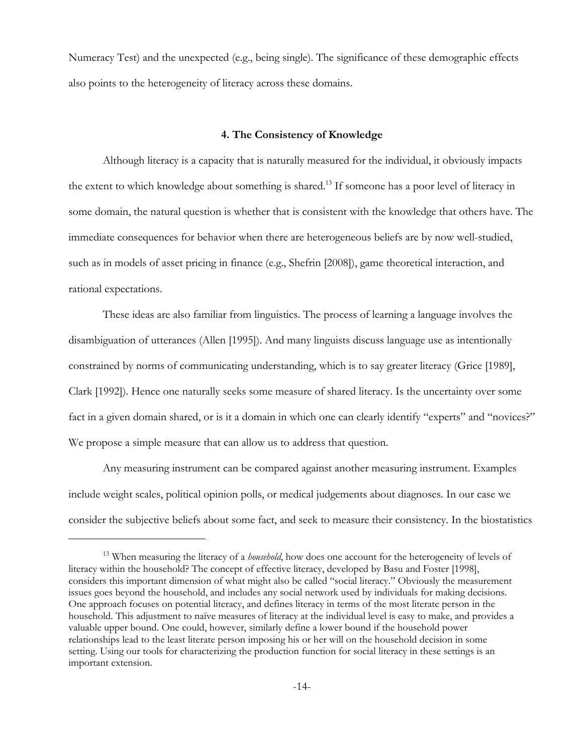Numeracy Test) and the unexpected (e.g., being single). The significance of these demographic effects also points to the heterogeneity of literacy across these domains.

#### **4. The Consistency of Knowledge**

Although literacy is a capacity that is naturally measured for the individual, it obviously impacts the extent to which knowledge about something is shared.<sup>13</sup> If someone has a poor level of literacy in some domain, the natural question is whether that is consistent with the knowledge that others have. The immediate consequences for behavior when there are heterogeneous beliefs are by now well-studied, such as in models of asset pricing in finance (e.g., Shefrin [2008]), game theoretical interaction, and rational expectations.

These ideas are also familiar from linguistics. The process of learning a language involves the disambiguation of utterances (Allen [1995]). And many linguists discuss language use as intentionally constrained by norms of communicating understanding, which is to say greater literacy (Grice [1989], Clark [1992]). Hence one naturally seeks some measure of shared literacy. Is the uncertainty over some fact in a given domain shared, or is it a domain in which one can clearly identify "experts" and "novices?" We propose a simple measure that can allow us to address that question.

Any measuring instrument can be compared against another measuring instrument. Examples include weight scales, political opinion polls, or medical judgements about diagnoses. In our case we consider the subjective beliefs about some fact, and seek to measure their consistency. In the biostatistics

<sup>13</sup> When measuring the literacy of a *household*, how does one account for the heterogeneity of levels of literacy within the household? The concept of effective literacy, developed by Basu and Foster [1998], considers this important dimension of what might also be called "social literacy." Obviously the measurement issues goes beyond the household, and includes any social network used by individuals for making decisions. One approach focuses on potential literacy, and defines literacy in terms of the most literate person in the household. This adjustment to naïve measures of literacy at the individual level is easy to make, and provides a valuable upper bound. One could, however, similarly define a lower bound if the household power relationships lead to the least literate person imposing his or her will on the household decision in some setting. Using our tools for characterizing the production function for social literacy in these settings is an important extension.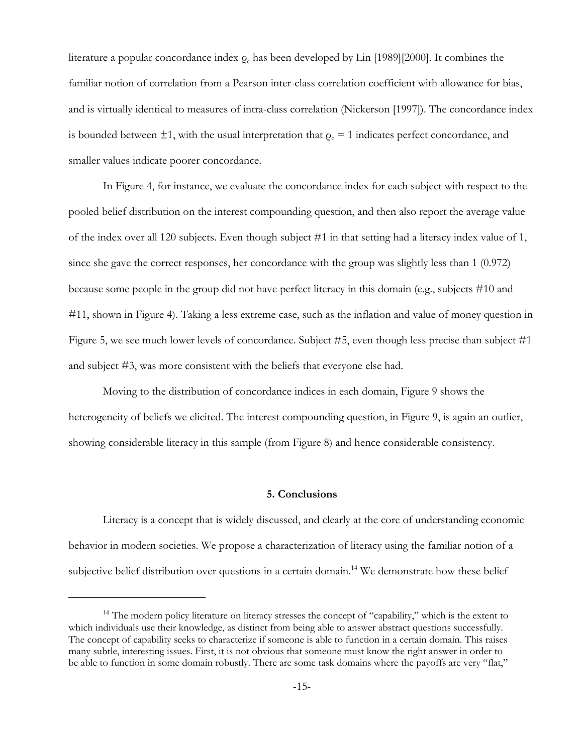literature a popular concordance index  $\rho_c$  has been developed by Lin [1989][2000]. It combines the familiar notion of correlation from a Pearson inter-class correlation coefficient with allowance for bias, and is virtually identical to measures of intra-class correlation (Nickerson [1997]). The concordance index is bounded between  $\pm 1$ , with the usual interpretation that  $\rho_c = 1$  indicates perfect concordance, and smaller values indicate poorer concordance.

In Figure 4, for instance, we evaluate the concordance index for each subject with respect to the pooled belief distribution on the interest compounding question, and then also report the average value of the index over all 120 subjects. Even though subject #1 in that setting had a literacy index value of 1, since she gave the correct responses, her concordance with the group was slightly less than 1 (0.972) because some people in the group did not have perfect literacy in this domain (e.g., subjects #10 and #11, shown in Figure 4). Taking a less extreme case, such as the inflation and value of money question in Figure 5, we see much lower levels of concordance. Subject #5, even though less precise than subject #1 and subject #3, was more consistent with the beliefs that everyone else had.

Moving to the distribution of concordance indices in each domain, Figure 9 shows the heterogeneity of beliefs we elicited. The interest compounding question, in Figure 9, is again an outlier, showing considerable literacy in this sample (from Figure 8) and hence considerable consistency.

#### **5. Conclusions**

Literacy is a concept that is widely discussed, and clearly at the core of understanding economic behavior in modern societies. We propose a characterization of literacy using the familiar notion of a subjective belief distribution over questions in a certain domain.<sup>14</sup> We demonstrate how these belief

 $14$  The modern policy literature on literacy stresses the concept of "capability," which is the extent to which individuals use their knowledge, as distinct from being able to answer abstract questions successfully. The concept of capability seeks to characterize if someone is able to function in a certain domain. This raises many subtle, interesting issues. First, it is not obvious that someone must know the right answer in order to be able to function in some domain robustly. There are some task domains where the payoffs are very "flat,"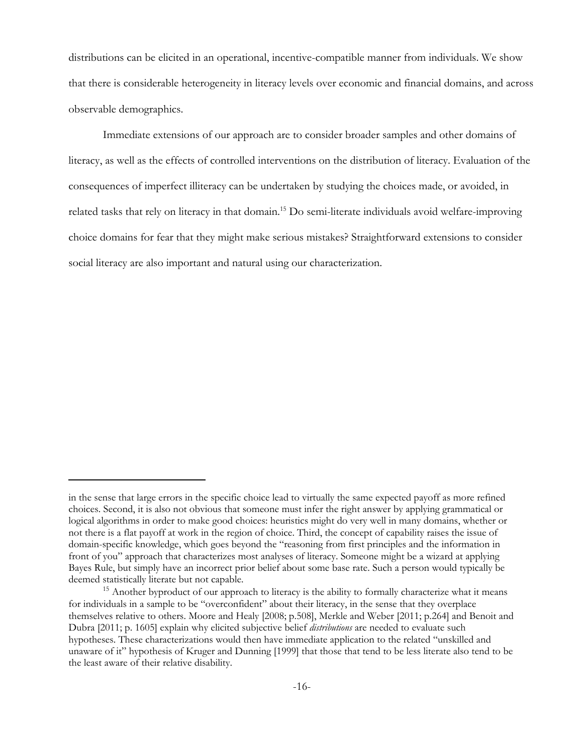distributions can be elicited in an operational, incentive-compatible manner from individuals. We show that there is considerable heterogeneity in literacy levels over economic and financial domains, and across observable demographics.

Immediate extensions of our approach are to consider broader samples and other domains of literacy, as well as the effects of controlled interventions on the distribution of literacy. Evaluation of the consequences of imperfect illiteracy can be undertaken by studying the choices made, or avoided, in related tasks that rely on literacy in that domain.15 Do semi-literate individuals avoid welfare-improving choice domains for fear that they might make serious mistakes? Straightforward extensions to consider social literacy are also important and natural using our characterization.

in the sense that large errors in the specific choice lead to virtually the same expected payoff as more refined choices. Second, it is also not obvious that someone must infer the right answer by applying grammatical or logical algorithms in order to make good choices: heuristics might do very well in many domains, whether or not there is a flat payoff at work in the region of choice. Third, the concept of capability raises the issue of domain-specific knowledge, which goes beyond the "reasoning from first principles and the information in front of you" approach that characterizes most analyses of literacy. Someone might be a wizard at applying Bayes Rule, but simply have an incorrect prior belief about some base rate. Such a person would typically be deemed statistically literate but not capable.

<sup>&</sup>lt;sup>15</sup> Another byproduct of our approach to literacy is the ability to formally characterize what it means for individuals in a sample to be "overconfident" about their literacy, in the sense that they overplace themselves relative to others. Moore and Healy [2008; p.508], Merkle and Weber [2011; p.264] and Benoit and Dubra [2011; p. 1605] explain why elicited subjective belief *distributions* are needed to evaluate such hypotheses. These characterizations would then have immediate application to the related "unskilled and unaware of it" hypothesis of Kruger and Dunning [1999] that those that tend to be less literate also tend to be the least aware of their relative disability.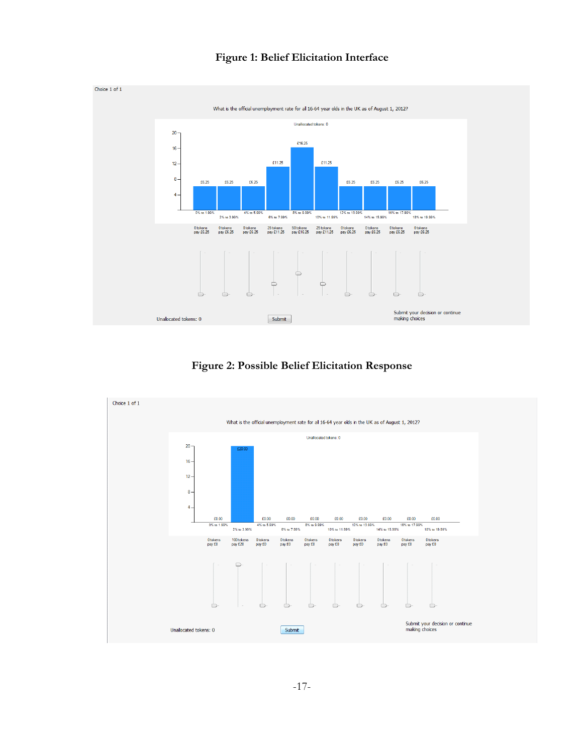

### **Figure 1: Belief Elicitation Interface**

**Figure 2: Possible Belief Elicitation Response**

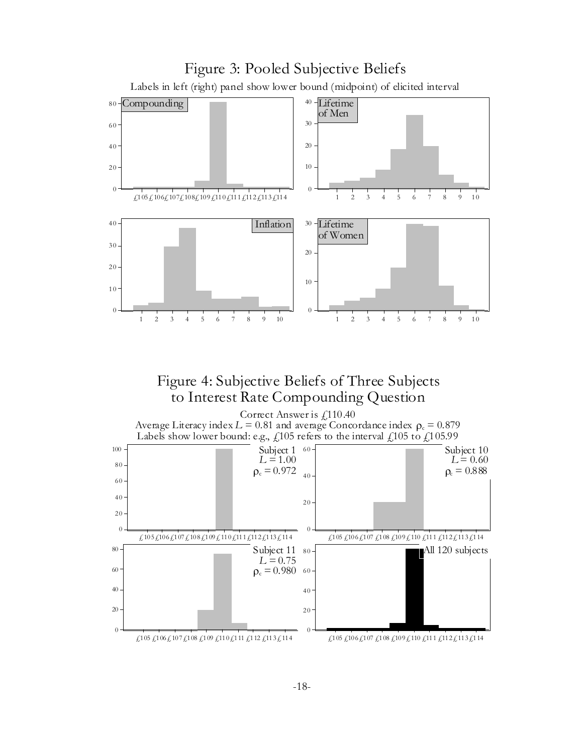



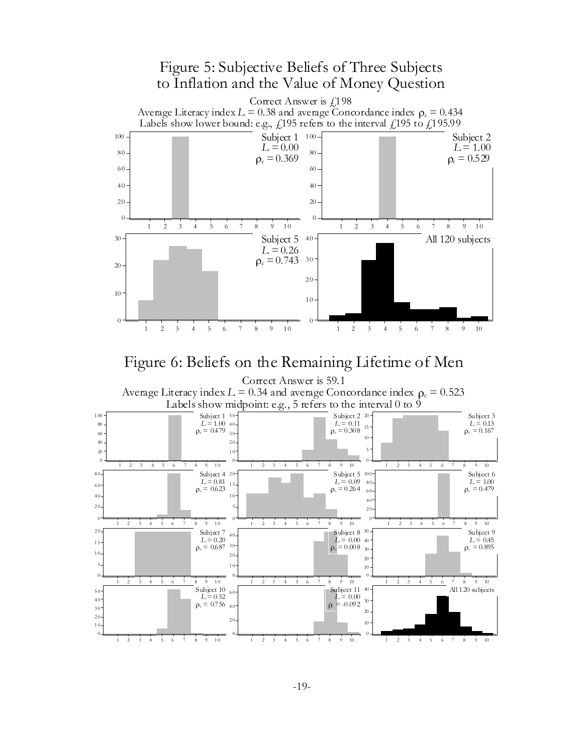

Figure 6: Beliefs on the Remaining Lifetime of Men

Correct Answer is 59.1 Average Literacy index  $L = 0.34$  and average Concordance index  $\rho_c = 0.523$ Labels show midpoint: e.g., 5 refers to the interval 0 to 9

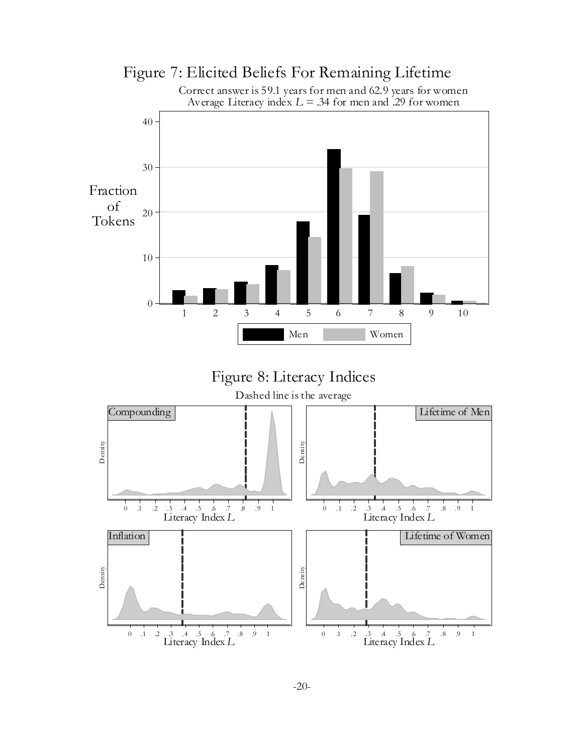

-20-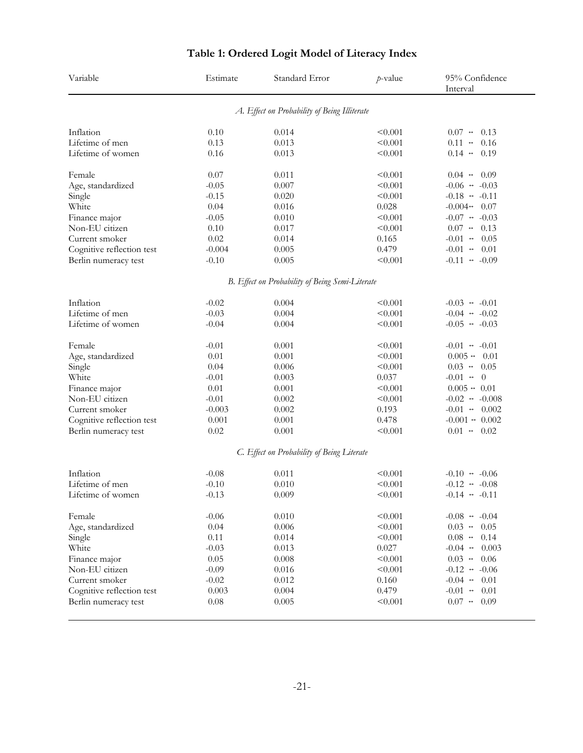| Variable                  | Estimate | Standard Error                                  | $p$ -value | 95% Confidence<br>Interval      |
|---------------------------|----------|-------------------------------------------------|------------|---------------------------------|
|                           |          | A. Effect on Probability of Being Illiterate    |            |                                 |
| Inflation                 | 0.10     | 0.014                                           | < 0.001    | $0.07 \rightarrow$<br>0.13      |
| Lifetime of men           | 0.13     | 0.013                                           | < 0.001    | $0.11 \leftrightarrow$<br>0.16  |
| Lifetime of women         | 0.16     | 0.013                                           | < 0.001    | $0.14 \div 0.19$                |
| Female                    | 0.07     | 0.011                                           | < 0.001    | $0.04 \div 0.09$                |
| Age, standardized         | $-0.05$  | 0.007                                           | < 0.001    | $-0.06 \leftrightarrow -0.03$   |
| Single                    | $-0.15$  | 0.020                                           | < 0.001    | $-0.18 \leftrightarrow -0.11$   |
| White                     | 0.04     | 0.016                                           | 0.028      | $-0.004 \div 0.07$              |
| Finance major             | $-0.05$  | 0.010                                           | < 0.001    | $-0.07 \leftrightarrow -0.03$   |
| Non-EU citizen            | 0.10     | 0.017                                           | < 0.001    | $0.07 \leftrightarrow$<br>0.13  |
| Current smoker            | 0.02     | 0.014                                           | 0.165      | $-0.01 \leftrightarrow$<br>0.05 |
| Cognitive reflection test | $-0.004$ | 0.005                                           | 0.479      | $-0.01 \rightarrow$<br>0.01     |
| Berlin numeracy test      | $-0.10$  | 0.005                                           | < 0.001    | $-0.11 \leftrightarrow -0.09$   |
|                           |          | B. Effect on Probability of Being Semi-Literate |            |                                 |
| Inflation                 | $-0.02$  | 0.004                                           | < 0.001    | $-0.03 \leftrightarrow -0.01$   |
| Lifetime of men           | $-0.03$  | 0.004                                           | < 0.001    | $-0.04 \leftrightarrow -0.02$   |
| Lifetime of women         | $-0.04$  | 0.004                                           | < 0.001    | $-0.05 \leftrightarrow -0.03$   |
| Female                    | $-0.01$  | 0.001                                           | < 0.001    | $-0.01 \leftrightarrow -0.01$   |
| Age, standardized         | 0.01     | 0.001                                           | < 0.001    | $0.005 \div 0.01$               |
| Single                    | 0.04     | 0.006                                           | < 0.001    | $0.03 \div 0.05$                |
| White                     | $-0.01$  | 0.003                                           | 0.037      | $-0.01 \leftrightarrow 0$       |
| Finance major             | 0.01     | 0.001                                           | < 0.001    | $0.005 \div 0.01$               |
| Non-EU citizen            | $-0.01$  | 0.002                                           | < 0.001    | $-0.02 \leftrightarrow -0.008$  |
| Current smoker            | $-0.003$ | 0.002                                           | 0.193      | $-0.01 \leftrightarrow 0.002$   |
| Cognitive reflection test | 0.001    | 0.001                                           | 0.478      | $-0.001 \div 0.002$             |
| Berlin numeracy test      | 0.02     | 0.001                                           | < 0.001    | $0.01 \div 0.02$                |
|                           |          | C. Effect on Probability of Being Literate      |            |                                 |
| Inflation                 | $-0.08$  | 0.011                                           | < 0.001    | $-0.10 \leftrightarrow -0.06$   |
| Lifetime of men           | $-0.10$  | 0.010                                           | < 0.001    | $-0.12 \leftrightarrow -0.08$   |
| Lifetime of women         | $-0.13$  | 0.009                                           | < 0.001    | $-0.14 \leftrightarrow -0.11$   |
| Female                    | $-0.06$  | 0.010                                           | < 0.001    | $-0.08 \leftrightarrow -0.04$   |
| Age, standardized         | 0.04     | 0.006                                           | < 0.001    | $0.03 \rightarrow$<br>0.05      |
| Single                    | 0.11     | 0.014                                           | < 0.001    | $0.08 \rightarrow$<br>0.14      |
| White                     | $-0.03$  | 0.013                                           | 0.027      | 0.003<br>$-0.04 \rightarrow$    |
| Finance major             | 0.05     | $0.008\,$                                       | < 0.001    | $0.03 \rightarrow$<br>0.06      |
| Non-EU citizen            | $-0.09$  | 0.016                                           | < 0.001    | $-0.12 \leftrightarrow -0.06$   |
| Current smoker            | $-0.02$  | 0.012                                           | 0.160      | $-0.04 \rightarrow$<br>0.01     |
| Cognitive reflection test | 0.003    | 0.004                                           | 0.479      | $-0.01 \rightarrow$<br>0.01     |
| Berlin numeracy test      | $0.08\,$ | 0.005                                           | < 0.001    | $0.07~\leftrightarrow~$<br>0.09 |
|                           |          |                                                 |            |                                 |

### **Table 1: Ordered Logit Model of Literacy Index**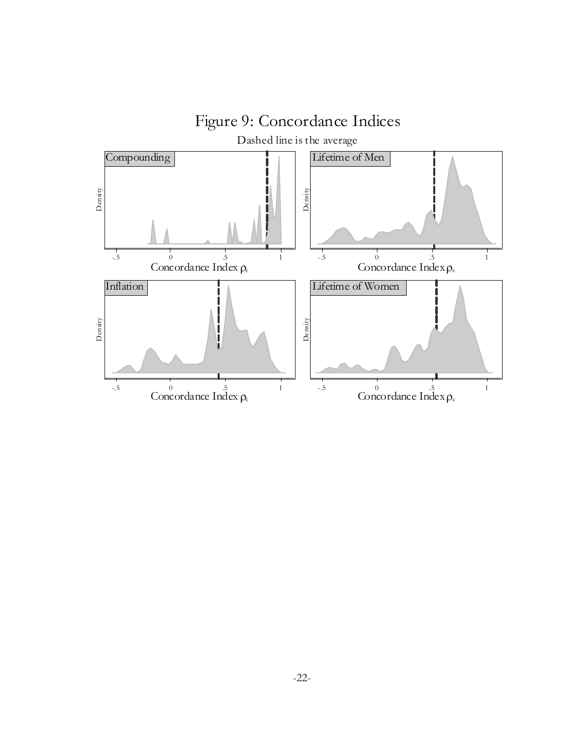

# Figure 9: Concordance Indices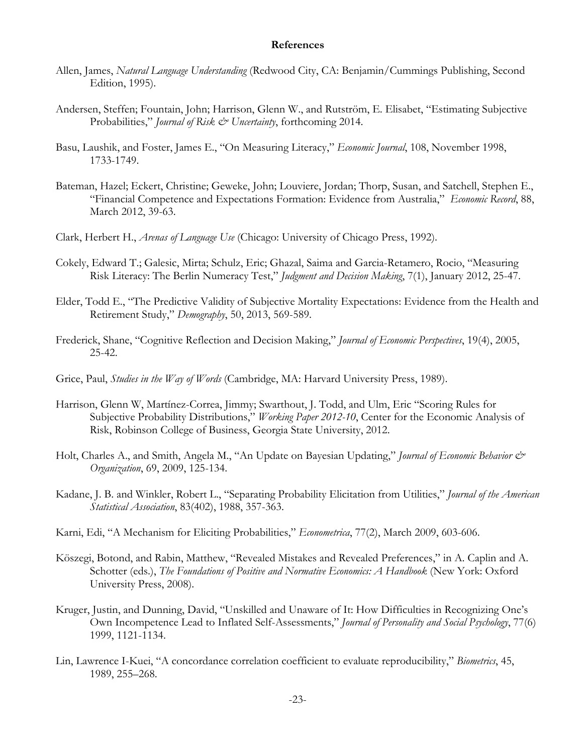#### **References**

- Allen, James, *Natural Language Understanding* (Redwood City, CA: Benjamin/Cummings Publishing, Second Edition, 1995).
- Andersen, Steffen; Fountain, John; Harrison, Glenn W., and Rutström, E. Elisabet, "Estimating Subjective Probabilities," *Journal of Risk & Uncertainty*, forthcoming 2014.
- Basu, Laushik, and Foster, James E., "On Measuring Literacy," *Economic Journal*, 108, November 1998, 1733-1749.
- Bateman, Hazel; Eckert, Christine; Geweke, John; Louviere, Jordan; Thorp, Susan, and Satchell, Stephen E., "Financial Competence and Expectations Formation: Evidence from Australia," *Economic Record*, 88, March 2012, 39-63.
- Clark, Herbert H., *Arenas of Language Use* (Chicago: University of Chicago Press, 1992).
- Cokely, Edward T.; Galesic, Mirta; Schulz, Eric; Ghazal, Saima and Garcia-Retamero, Rocio, "Measuring Risk Literacy: The Berlin Numeracy Test," *Judgment and Decision Making*, 7(1), January 2012, 25-47.
- Elder, Todd E., "The Predictive Validity of Subjective Mortality Expectations: Evidence from the Health and Retirement Study," *Demography*, 50, 2013, 569-589.
- Frederick, Shane, "Cognitive Reflection and Decision Making," *Journal of Economic Perspectives*, 19(4), 2005, 25-42.
- Grice, Paul, *Studies in the Way of Words* (Cambridge, MA: Harvard University Press, 1989).
- Harrison, Glenn W, Martínez-Correa, Jimmy; Swarthout, J. Todd, and Ulm, Eric "Scoring Rules for Subjective Probability Distributions," *Working Paper 2012-10*, Center for the Economic Analysis of Risk, Robinson College of Business, Georgia State University, 2012.
- Holt, Charles A., and Smith, Angela M., "An Update on Bayesian Updating," *Journal of Economic Behavior & Organization*, 69, 2009, 125-134.
- Kadane, J. B. and Winkler, Robert L., "Separating Probability Elicitation from Utilities," *Journal of the American Statistical Association*, 83(402), 1988, 357-363.
- Karni, Edi, "A Mechanism for Eliciting Probabilities," *Econometrica*, 77(2), March 2009, 603-606.
- Köszegi, Botond, and Rabin, Matthew, "Revealed Mistakes and Revealed Preferences," in A. Caplin and A. Schotter (eds.), *The Foundations of Positive and Normative Economics: A Handbook* (New York: Oxford University Press, 2008).
- Kruger, Justin, and Dunning, David, "Unskilled and Unaware of It: How Difficulties in Recognizing One's Own Incompetence Lead to Inflated Self-Assessments," *Journal of Personality and Social Psychology*, 77(6) 1999, 1121-1134.
- Lin, Lawrence I-Kuei, "A concordance correlation coefficient to evaluate reproducibility," *Biometrics*, 45, 1989, 255–268.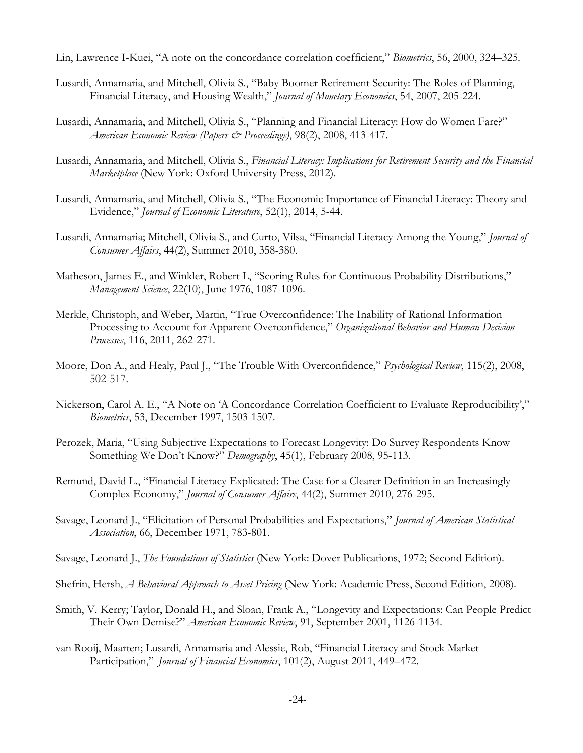Lin, Lawrence I-Kuei, "A note on the concordance correlation coefficient," *Biometrics*, 56, 2000, 324–325.

- Lusardi, Annamaria, and Mitchell, Olivia S., "Baby Boomer Retirement Security: The Roles of Planning, Financial Literacy, and Housing Wealth," *Journal of Monetary Economics*, 54, 2007, 205-224.
- Lusardi, Annamaria, and Mitchell, Olivia S., "Planning and Financial Literacy: How do Women Fare?" *American Economic Review (Papers & Proceedings)*, 98(2), 2008, 413-417.
- Lusardi, Annamaria, and Mitchell, Olivia S., *Financial Literacy: Implications for Retirement Security and the Financial Marketplace* (New York: Oxford University Press, 2012).
- Lusardi, Annamaria, and Mitchell, Olivia S., "The Economic Importance of Financial Literacy: Theory and Evidence," *Journal of Economic Literature*, 52(1), 2014, 5-44.
- Lusardi, Annamaria; Mitchell, Olivia S., and Curto, Vilsa, "Financial Literacy Among the Young," *Journal of Consumer Affairs*, 44(2), Summer 2010, 358-380.
- Matheson, James E., and Winkler, Robert L, "Scoring Rules for Continuous Probability Distributions," *Management Science*, 22(10), June 1976, 1087-1096.
- Merkle, Christoph, and Weber, Martin, "True Overconfidence: The Inability of Rational Information Processing to Account for Apparent Overconfidence," *Organizational Behavior and Human Decision Processes*, 116, 2011, 262-271.
- Moore, Don A., and Healy, Paul J., "The Trouble With Overconfidence," *Psychological Review*, 115(2), 2008, 502-517.
- Nickerson, Carol A. E., "A Note on 'A Concordance Correlation Coefficient to Evaluate Reproducibility'," *Biometrics*, 53, December 1997, 1503-1507.
- Perozek, Maria, "Using Subjective Expectations to Forecast Longevity: Do Survey Respondents Know Something We Don't Know?" *Demography*, 45(1), February 2008, 95-113.
- Remund, David L., "Financial Literacy Explicated: The Case for a Clearer Definition in an Increasingly Complex Economy," *Journal of Consumer Affairs*, 44(2), Summer 2010, 276-295.
- Savage, Leonard J., "Elicitation of Personal Probabilities and Expectations," *Journal of American Statistical Association*, 66, December 1971, 783-801.
- Savage, Leonard J., *The Foundations of Statistics* (New York: Dover Publications, 1972; Second Edition).
- Shefrin, Hersh, *A Behavioral Approach to Asset Pricing* (New York: Academic Press, Second Edition, 2008).
- Smith, V. Kerry; Taylor, Donald H., and Sloan, Frank A., "Longevity and Expectations: Can People Predict Their Own Demise?" *American Economic Review*, 91, September 2001, 1126-1134.
- van Rooij, Maarten; Lusardi, Annamaria and Alessie, Rob, "Financial Literacy and Stock Market Participation," *Journal of Financial Economics*, 101(2), August 2011, 449–472.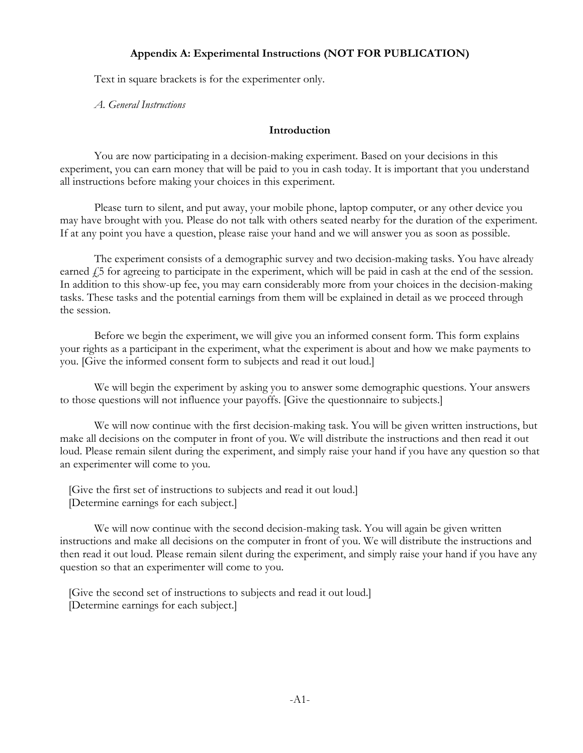### **Appendix A: Experimental Instructions (NOT FOR PUBLICATION)**

Text in square brackets is for the experimenter only.

*A. General Instructions*

#### **Introduction**

You are now participating in a decision-making experiment. Based on your decisions in this experiment, you can earn money that will be paid to you in cash today. It is important that you understand all instructions before making your choices in this experiment.

Please turn to silent, and put away, your mobile phone, laptop computer, or any other device you may have brought with you. Please do not talk with others seated nearby for the duration of the experiment. If at any point you have a question, please raise your hand and we will answer you as soon as possible.

The experiment consists of a demographic survey and two decision-making tasks. You have already earned  $\ddot{f}$  for agreeing to participate in the experiment, which will be paid in cash at the end of the session. In addition to this show-up fee, you may earn considerably more from your choices in the decision-making tasks. These tasks and the potential earnings from them will be explained in detail as we proceed through the session.

Before we begin the experiment, we will give you an informed consent form. This form explains your rights as a participant in the experiment, what the experiment is about and how we make payments to you. [Give the informed consent form to subjects and read it out loud.]

We will begin the experiment by asking you to answer some demographic questions. Your answers to those questions will not influence your payoffs. [Give the questionnaire to subjects.]

We will now continue with the first decision-making task. You will be given written instructions, but make all decisions on the computer in front of you. We will distribute the instructions and then read it out loud. Please remain silent during the experiment, and simply raise your hand if you have any question so that an experimenter will come to you.

 [Give the first set of instructions to subjects and read it out loud.] [Determine earnings for each subject.]

We will now continue with the second decision-making task. You will again be given written instructions and make all decisions on the computer in front of you. We will distribute the instructions and then read it out loud. Please remain silent during the experiment, and simply raise your hand if you have any question so that an experimenter will come to you.

 [Give the second set of instructions to subjects and read it out loud.] [Determine earnings for each subject.]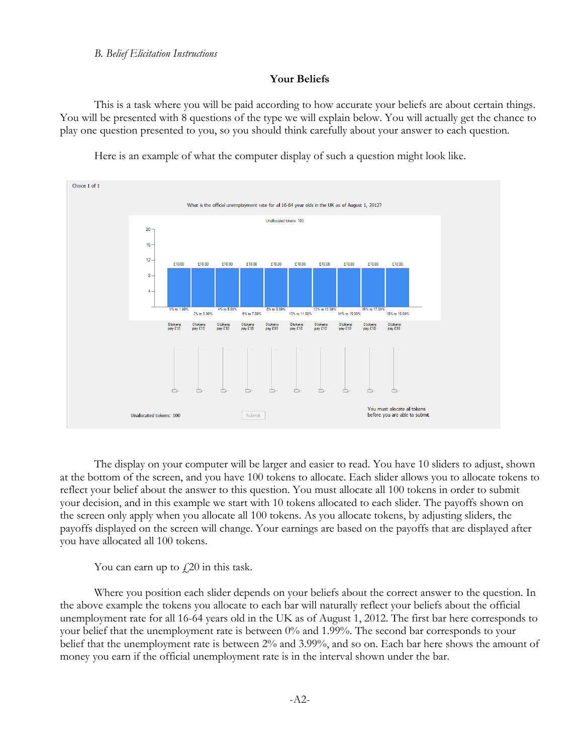#### *B. Belief Elicitation Instructions*

#### **Your Beliefs**

This is a task where you will be paid according to how accurate your beliefs are about certain things. You will be presented with 8 questions of the type we will explain below. You will actually get the chance to play one question presented to you, so you should think carefully about your answer to each question.

Here is an example of what the computer display of such a question might look like.



The display on your computer will be larger and easier to read. You have 10 sliders to adjust, shown at the bottom of the screen, and you have 100 tokens to allocate. Each slider allows you to allocate tokens to reflect your belief about the answer to this question. You must allocate all 100 tokens in order to submit your decision, and in this example we start with 10 tokens allocated to each slider. The payoffs shown on the screen only apply when you allocate all 100 tokens. As you allocate tokens, by adjusting sliders, the payoffs displayed on the screen will change. Your earnings are based on the payoffs that are displayed after you have allocated all 100 tokens.

You can earn up to  $f(20)$  in this task.

Where you position each slider depends on your beliefs about the correct answer to the question. In the above example the tokens you allocate to each bar will naturally reflect your beliefs about the official unemployment rate for all 16-64 years old in the UK as of August 1, 2012. The first bar here corresponds to your belief that the unemployment rate is between 0% and 1.99%. The second bar corresponds to your belief that the unemployment rate is between 2% and 3.99%, and so on. Each bar here shows the amount of money you earn if the official unemployment rate is in the interval shown under the bar.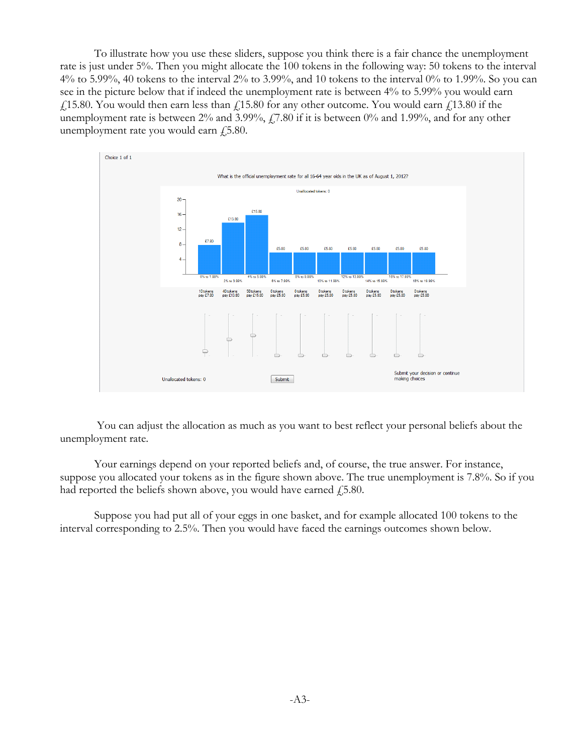To illustrate how you use these sliders, suppose you think there is a fair chance the unemployment rate is just under 5%. Then you might allocate the 100 tokens in the following way: 50 tokens to the interval  $4\%$  to 5.99%, 40 tokens to the interval  $2\%$  to 3.99%, and 10 tokens to the interval 0% to 1.99%. So you can see in the picture below that if indeed the unemployment rate is between 4% to 5.99% you would earn £15.80. You would then earn less than £15.80 for any other outcome. You would earn £13.80 if the unemployment rate is between 2% and 3.99%,  $\text{\emph{f}}$ 7.80 if it is between 0% and 1.99%, and for any other unemployment rate you would earn  $\sqrt{5.80}$ .



 You can adjust the allocation as much as you want to best reflect your personal beliefs about the unemployment rate.

Your earnings depend on your reported beliefs and, of course, the true answer. For instance, suppose you allocated your tokens as in the figure shown above. The true unemployment is 7.8%. So if you had reported the beliefs shown above, you would have earned  $\text{\emph{f}}\text{,}5.80$ .

Suppose you had put all of your eggs in one basket, and for example allocated 100 tokens to the interval corresponding to 2.5%. Then you would have faced the earnings outcomes shown below.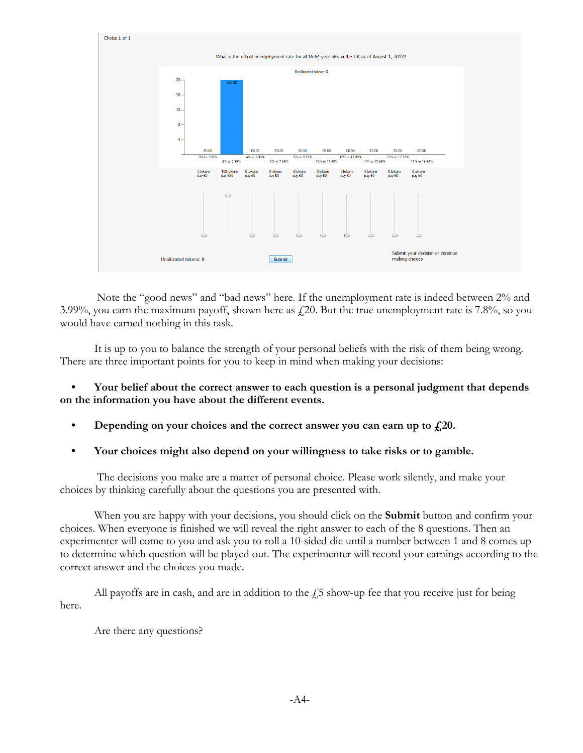

 Note the "good news" and "bad news" here. If the unemployment rate is indeed between 2% and 3.99%, you earn the maximum payoff, shown here as  $\ell$  20. But the true unemployment rate is 7.8%, so you would have earned nothing in this task.

It is up to you to balance the strength of your personal beliefs with the risk of them being wrong. There are three important points for you to keep in mind when making your decisions:

### **• Your belief about the correct answer to each question is a personal judgment that depends on the information you have about the different events.**

- **Depending on your choices and the correct answer you can earn up to £20.**
- **Your choices might also depend on your willingness to take risks or to gamble.**

 The decisions you make are a matter of personal choice. Please work silently, and make your choices by thinking carefully about the questions you are presented with.

When you are happy with your decisions, you should click on the **Submit** button and confirm your choices. When everyone is finished we will reveal the right answer to each of the 8 questions. Then an experimenter will come to you and ask you to roll a 10-sided die until a number between 1 and 8 comes up to determine which question will be played out. The experimenter will record your earnings according to the correct answer and the choices you made.

All payoffs are in cash, and are in addition to the  $\ell$ <sub>5</sub> show-up fee that you receive just for being here.

Are there any questions?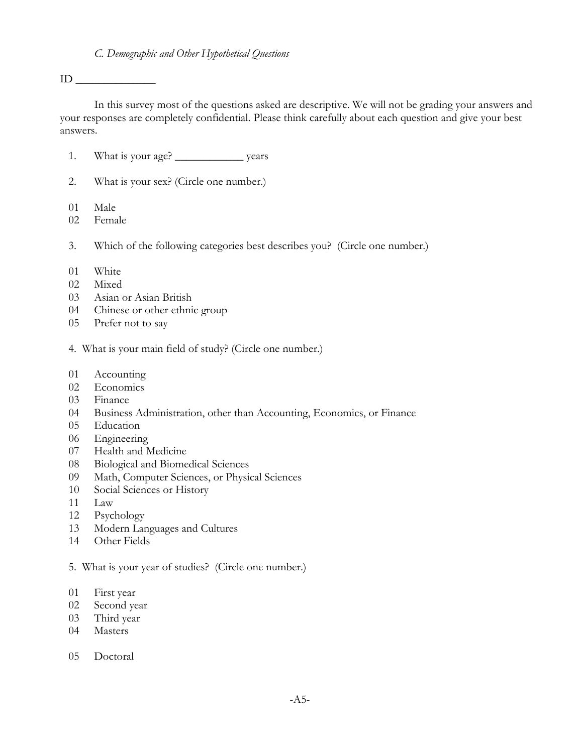*C. Demographic and Other Hypothetical Questions*

 $ID \qquad \qquad \Box$ 

In this survey most of the questions asked are descriptive. We will not be grading your answers and your responses are completely confidential. Please think carefully about each question and give your best answers.

- 1. What is your age? \_\_\_\_\_\_\_\_\_\_\_\_\_\_ years
- 2. What is your sex? (Circle one number.)
- 01 Male
- 02 Female
- 3. Which of the following categories best describes you? (Circle one number.)
- 01 White
- 02 Mixed
- 03 Asian or Asian British
- 04 Chinese or other ethnic group
- 05 Prefer not to say
- 4. What is your main field of study? (Circle one number.)
- 01 Accounting
- 02 Economics
- 03 Finance
- 04 Business Administration, other than Accounting, Economics, or Finance
- 05 Education
- 06 Engineering
- 07 Health and Medicine
- 08 Biological and Biomedical Sciences
- 09 Math, Computer Sciences, or Physical Sciences
- 10 Social Sciences or History
- 11 Law
- 12 Psychology
- 13 Modern Languages and Cultures
- 14 Other Fields
- 5. What is your year of studies? (Circle one number.)
- 01 First year
- 02 Second year
- 03 Third year
- 04 Masters
- 05 Doctoral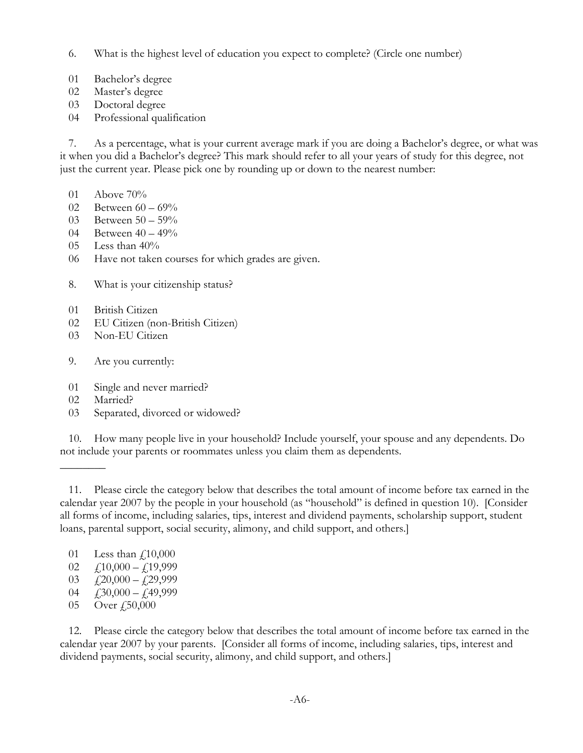6. What is the highest level of education you expect to complete? (Circle one number)

- 01 Bachelor's degree
- 02 Master's degree
- 03 Doctoral degree
- 04 Professional qualification

 7. As a percentage, what is your current average mark if you are doing a Bachelor's degree, or what was it when you did a Bachelor's degree? This mark should refer to all your years of study for this degree, not just the current year. Please pick one by rounding up or down to the nearest number:

- 01 Above 70%
- 02 Between 60 69%
- 03 Between 50 59%
- 04 Between 40 49%
- 05 Less than  $40\%$
- 06 Have not taken courses for which grades are given.
- 8. What is your citizenship status?
- 01 British Citizen
- 02 EU Citizen (non-British Citizen)
- 03 Non-EU Citizen
- 9. Are you currently:
- 01 Single and never married?
- 02 Married?

 $\overline{\phantom{a}}$ 

03 Separated, divorced or widowed?

 10. How many people live in your household? Include yourself, your spouse and any dependents. Do not include your parents or roommates unless you claim them as dependents.

 11. Please circle the category below that describes the total amount of income before tax earned in the calendar year 2007 by the people in your household (as "household" is defined in question 10). [Consider all forms of income, including salaries, tips, interest and dividend payments, scholarship support, student loans, parental support, social security, alimony, and child support, and others.]

- 01 Less than  $\ddot{f}$ , 10,000
- $02 \quad \text{\textsterling}10,000 \text{\textsterling}19,999$
- 03  $\angle$  (20,000 (29,999)
- $04 \quad \text{\textsterling}30,000 \text{\textsterling}49,999$
- 05 Over £50,000

 12. Please circle the category below that describes the total amount of income before tax earned in the calendar year 2007 by your parents. [Consider all forms of income, including salaries, tips, interest and dividend payments, social security, alimony, and child support, and others.]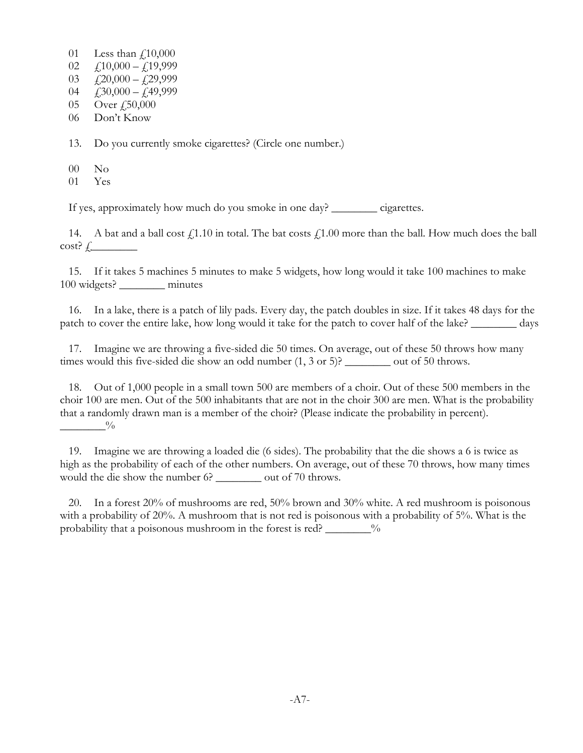- 01 Less than  $\ddot{f}$ , 10,000
- $02 \quad \text{\textsterling}10,000 \text{\textsterling}19,999$
- 03  $\angle (20,000 \angle (29,999)$
- $04 \quad \text{\textsterling}30,000 \text{\textsterling}49,999$
- 05 Over £50,000
- 06 Don't Know

13. Do you currently smoke cigarettes? (Circle one number.)

- 00 No
- 01 Yes

If yes, approximately how much do you smoke in one day? \_\_\_\_\_\_\_\_ cigarettes.

14. A bat and a ball cost  $f(1.10)$  in total. The bat costs  $f(1.00)$  more than the ball. How much does the ball  $\cosh f$ 

 15. If it takes 5 machines 5 minutes to make 5 widgets, how long would it take 100 machines to make 100 widgets? \_\_\_\_\_\_\_\_ minutes

 16. In a lake, there is a patch of lily pads. Every day, the patch doubles in size. If it takes 48 days for the patch to cover the entire lake, how long would it take for the patch to cover half of the lake? \_\_\_\_\_\_\_\_ days

 17. Imagine we are throwing a five-sided die 50 times. On average, out of these 50 throws how many times would this five-sided die show an odd number (1, 3 or 5)? \_\_\_\_\_\_\_\_ out of 50 throws.

 18. Out of 1,000 people in a small town 500 are members of a choir. Out of these 500 members in the choir 100 are men. Out of the 500 inhabitants that are not in the choir 300 are men. What is the probability that a randomly drawn man is a member of the choir? (Please indicate the probability in percent).  $\frac{0}{0}$ 

 19. Imagine we are throwing a loaded die (6 sides). The probability that the die shows a 6 is twice as high as the probability of each of the other numbers. On average, out of these 70 throws, how many times would the die show the number 6? \_\_\_\_\_\_\_\_ out of 70 throws.

 20. In a forest 20% of mushrooms are red, 50% brown and 30% white. A red mushroom is poisonous with a probability of 20%. A mushroom that is not red is poisonous with a probability of 5%. What is the probability that a poisonous mushroom in the forest is red? \_\_\_\_\_\_\_\_%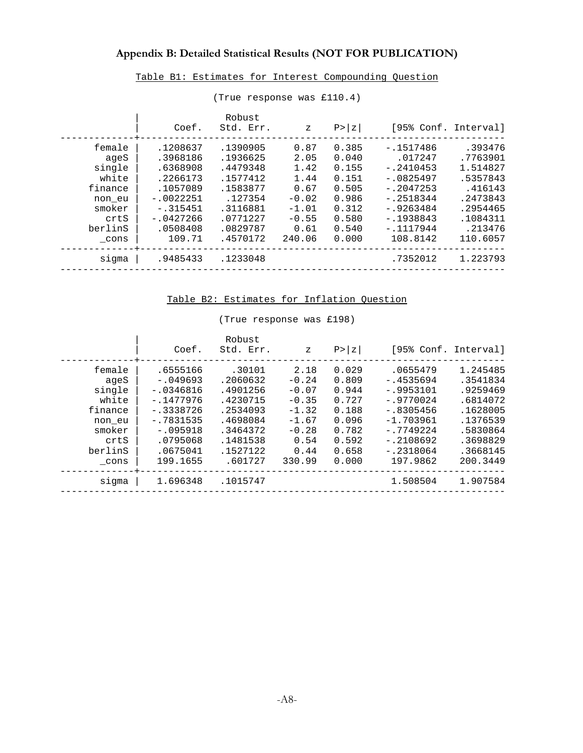### **Appendix B: Detailed Statistical Results (NOT FOR PUBLICATION)**

Table B1: Estimates for Interest Compounding Question

|                                                                                             | Coef.                                                                                                                       | Robust<br>Std. Err.                                                                                                 | $\mathbf{z}$                                                                            | P >  z                                                                                 |                                                                                                                                              | [95% Conf. Interval]                                                                                              |
|---------------------------------------------------------------------------------------------|-----------------------------------------------------------------------------------------------------------------------------|---------------------------------------------------------------------------------------------------------------------|-----------------------------------------------------------------------------------------|----------------------------------------------------------------------------------------|----------------------------------------------------------------------------------------------------------------------------------------------|-------------------------------------------------------------------------------------------------------------------|
| female<br>ageS<br>single<br>white<br>finance<br>non eu<br>smoker<br>crtS<br>berlinS<br>cons | .1208637<br>.3968186<br>.6368908<br>.2266173<br>.1057089<br>$-.0022251$<br>$-0.315451$<br>$-.0427266$<br>.0508408<br>109.71 | .1390905<br>.1936625<br>.4479348<br>.1577412<br>.1583877<br>.127354<br>.3116881<br>.0771227<br>.0829787<br>.4570172 | 0.87<br>2.05<br>1.42<br>1.44<br>0.67<br>$-0.02$<br>$-1.01$<br>$-0.55$<br>0.61<br>240.06 | 0.385<br>0.040<br>0.155<br>0.151<br>0.505<br>0.986<br>0.312<br>0.580<br>0.540<br>0.000 | $-.1517486$<br>.017247<br>$-.2410453$<br>$-.0825497$<br>$-.2047253$<br>$-0.2518344$<br>$-0.9263484$<br>$-.1938843$<br>$-1117944$<br>108.8142 | .393476<br>.7763901<br>1.514827<br>.5357843<br>.416143<br>.2473843<br>.2954465<br>.1084311<br>.213476<br>110.6057 |
| sigma                                                                                       | .9485433                                                                                                                    | .1233048                                                                                                            |                                                                                         |                                                                                        | .7352012                                                                                                                                     | 1.223793                                                                                                          |

(True response was £110.4)

Table B2: Estimates for Inflation Question

|                                                                                             | Coef.                                                                                                                                | Robust<br>Std. Err.                                                                                               | $Z_{i}$                                                                                          | P >  z                                                                                 |                                                                                                                                               | [95% Conf. Interval]                                                                                                 |
|---------------------------------------------------------------------------------------------|--------------------------------------------------------------------------------------------------------------------------------------|-------------------------------------------------------------------------------------------------------------------|--------------------------------------------------------------------------------------------------|----------------------------------------------------------------------------------------|-----------------------------------------------------------------------------------------------------------------------------------------------|----------------------------------------------------------------------------------------------------------------------|
| female<br>ageS<br>single<br>white<br>finance<br>non eu<br>smoker<br>crtS<br>berlinS<br>cons | .6555166<br>$-.049693$<br>$-.0346816$<br>$-.1477976$<br>$-.3338726$<br>$-.7831535$<br>$-.095918$<br>.0795068<br>.0675041<br>199.1655 | .30101<br>.2060632<br>.4901256<br>.4230715<br>.2534093<br>.4698084<br>.3464372<br>.1481538<br>.1527122<br>.601727 | 2.18<br>$-0.24$<br>$-0.07$<br>$-0.35$<br>$-1.32$<br>$-1.67$<br>$-0.28$<br>0.54<br>0.44<br>330.99 | 0.029<br>0.809<br>0.944<br>0.727<br>0.188<br>0.096<br>0.782<br>0.592<br>0.658<br>0.000 | .0655479<br>$-14535694$<br>$-0.9953101$<br>$-.9770024$<br>$-.8305456$<br>$-1.703961$<br>$-.7749224$<br>$-.2108692$<br>$-.2318064$<br>197.9862 | 1.245485<br>.3541834<br>.9259469<br>.6814072<br>.1628005<br>.1376539<br>.5830864<br>.3698829<br>.3668145<br>200.3449 |
| sigma                                                                                       | 1.696348                                                                                                                             | .1015747                                                                                                          |                                                                                                  |                                                                                        | 1.508504                                                                                                                                      | 1.907584                                                                                                             |

(True response was £198)